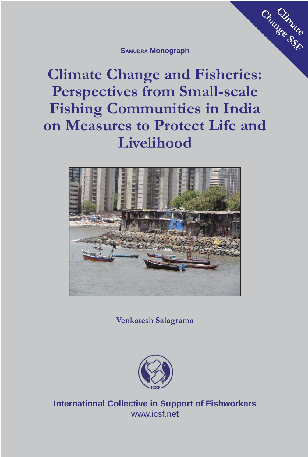#### **SAMUDRA Monograph**

Change SSF

**Climate Change and Fisheries: Perspectives from Small-scale Fishing Communities in India on Measures to Protect Life and Livelihood**



**Venkatesh Salagrama**



**International Collective in Support of Fishworkers** www.icsf.net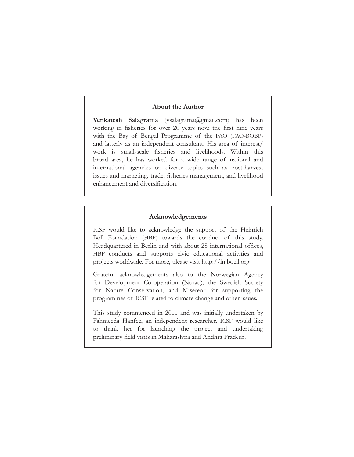#### **About the Author**

**Venkatesh Salagrama** (vsalagrama@gmail.com) has been working in fisheries for over 20 years now, the first nine years with the Bay of Bengal Programme of the FAO (FAO-BOBP) and latterly as an independent consultant. His area of interest/ work is small-scale fisheries and livelihoods. Within this broad area, he has worked for a wide range of national and international agencies on diverse topics such as post-harvest issues and marketing, trade, fisheries management, and livelihood enhancement and diversification.

#### **Acknowledgements**

ICSF would like to acknowledge the support of the Heinrich Böll Foundation (HBF) towards the conduct of this study. Headquartered in Berlin and with about 28 international offices, HBF conducts and supports civic educational activities and projects worldwide. For more, please visit http://in.boell.org

Grateful acknowledgements also to the Norwegian Agency for Development Co-operation (Norad), the Swedish Society for Nature Conservation, and Misereor for supporting the programmes of ICSF related to climate change and other issues.

This study commenced in 2011 and was initially undertaken by Fahmeeda Hanfee, an independent researcher. ICSF would like to thank her for launching the project and undertaking preliminary field visits in Maharashtra and Andhra Pradesh.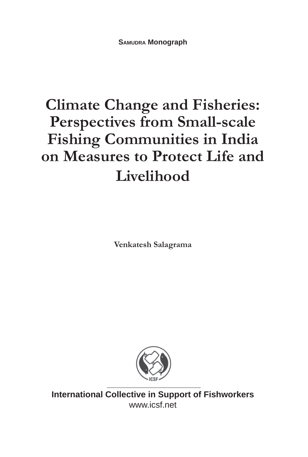# **Climate Change and Fisheries: Perspectives from Small-scale Fishing Communities in India on Measures to Protect Life and Livelihood**

**Venkatesh Salagrama**



**International Collective in Support of Fishworkers** www.icsf.net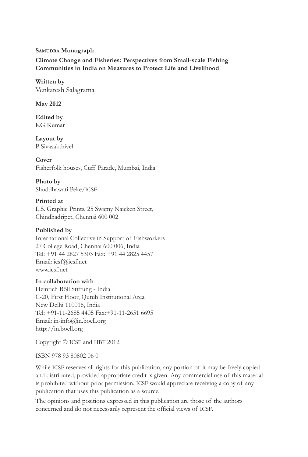#### **SAMUDRA Monograph**

**Climate Change and Fisheries: Perspectives from Small-scale Fishing Communities in India on Measures to Protect Life and Livelihood**

**Written by** Venkatesh Salagrama

**May 2012**

**Edited by** KG Kumar

**Layout by** P Sivasakthivel

**Cover** Fisherfolk houses, Cuff Parade, Mumbai, India

#### **Photo by**

Shuddhawati Peke/ICSF

#### **Printed at**

L.S. Graphic Prints, 25 Swamy Naicken Street, Chindhadripet, Chennai 600 002

#### **Published by**

International Collective in Support of Fishworkers 27 College Road, Chennai 600 006, India Tel: +91 44 2827 5303 Fax: +91 44 2825 4457 Email: icsf@icsf.net www.icsf.net

#### **In collaboration with**

Heinrich Böll Stiftung - India C-20, First Floor, Qutub Institutional Area New Delhi 110016, India Tel: +91-11-2685 4405 Fax:+91-11-2651 6695 Email: in-info@in.boell.org http://in.boell.org

Copyright © ICSF and HBF 2012

ISBN 978 93 80802 06 0

While ICSF reserves all rights for this publication, any portion of it may be freely copied and distributed, provided appropriate credit is given. Any commercial use of this material is prohibited without prior permission. ICSF would appreciate receiving a copy of any publication that uses this publication as a source.

The opinions and positions expressed in this publication are those of the authors concerned and do not necessarily represent the official views of ICSF.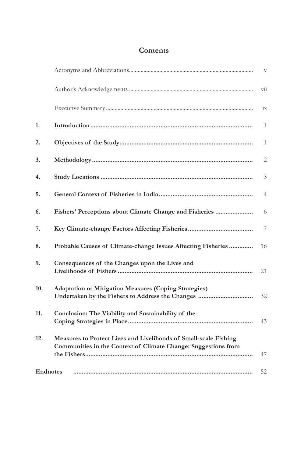# **Contents**

| 1.  |                                                                                                                                    | $\mathbf{1}$   |
|-----|------------------------------------------------------------------------------------------------------------------------------------|----------------|
| 2.  |                                                                                                                                    | $\mathbf{1}$   |
| 3.  |                                                                                                                                    | $\overline{2}$ |
| 4.  |                                                                                                                                    | 3              |
| 5.  |                                                                                                                                    | $\overline{4}$ |
| 6.  | Fishers' Perceptions about Climate Change and Fisheries                                                                            | 6              |
| 7.  |                                                                                                                                    | $\overline{7}$ |
| 8.  | Probable Causes of Climate-change Issues Affecting Fisheries                                                                       | 16             |
| 9.  | Consequences of the Changes upon the Lives and                                                                                     | 21             |
| 10. | <b>Adaptation or Mitigation Measures (Coping Strategies)</b>                                                                       | 32             |
| 11. | Conclusion: The Viability and Sustainability of the                                                                                | 43             |
| 12. | Measures to Protect Lives and Livelihoods of Small-scale Fishing<br>Communities in the Context of Climate Change: Suggestions from | 47             |
|     | <b>Endnotes</b>                                                                                                                    | 52             |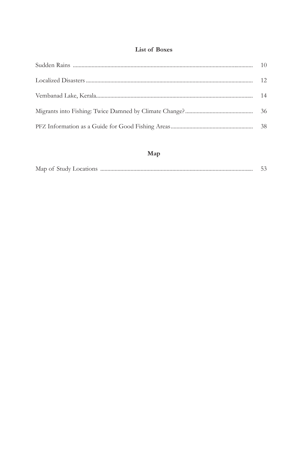#### List of Boxes

## Map

| Map of Study Locatic |  |
|----------------------|--|
|----------------------|--|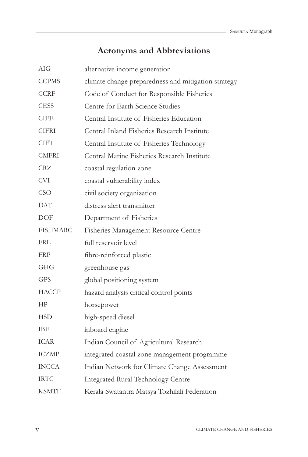# **Acronyms and Abbreviations**

| AIG          | alternative income generation                       |
|--------------|-----------------------------------------------------|
| <b>CCPMS</b> | climate change preparedness and mitigation strategy |
| <b>CCRF</b>  | Code of Conduct for Responsible Fisheries           |
| <b>CESS</b>  | Centre for Earth Science Studies                    |
| <b>CIFE</b>  | Central Institute of Fisheries Education            |
| <b>CIFRI</b> | Central Inland Fisheries Research Institute         |
| <b>CIFT</b>  | Central Institute of Fisheries Technology           |
| <b>CMFRI</b> | Central Marine Fisheries Research Institute         |
| CRZ          | coastal regulation zone                             |
| <b>CVI</b>   | coastal vulnerability index                         |
| <b>CSO</b>   | civil society organization                          |
| DAT          | distress alert transmitter                          |
| DOF          | Department of Fisheries                             |
| FISHMARC     | Fisheries Management Resource Centre                |
| FRL          | full reservoir level                                |
| FRP          | fibre-reinforced plastic                            |
| <b>GHG</b>   | greenhouse gas                                      |
| <b>GPS</b>   | global positioning system                           |
| HACCP        | hazard analysis critical control points             |
| HP           | horsepower                                          |
| <b>HSD</b>   | high-speed diesel                                   |
| IBE          | inboard engine                                      |
| ICAR         | Indian Council of Agricultural Research             |
| <b>ICZMP</b> | integrated coastal zone management programme        |
| <b>INCCA</b> | Indian Network for Climate Change Assessment        |
| <b>IRTC</b>  | <b>Integrated Rural Technology Centre</b>           |
| KSMTF        | Kerala Swatantra Matsya Tozhilali Federation        |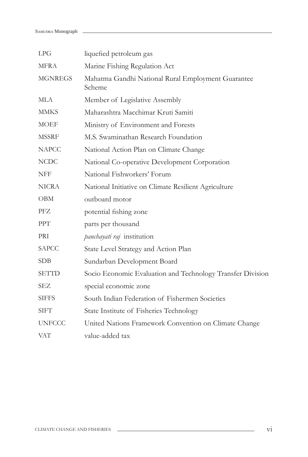| LPG            | liquefied petroleum gas                                      |
|----------------|--------------------------------------------------------------|
| <b>MFRA</b>    | Marine Fishing Regulation Act                                |
| <b>MGNREGS</b> | Mahatma Gandhi National Rural Employment Guarantee<br>Scheme |
| <b>MLA</b>     | Member of Legislative Assembly                               |
| <b>MMKS</b>    | Maharashtra Macchimar Kruti Samiti                           |
| <b>MOEF</b>    | Ministry of Environment and Forests                          |
| <b>MSSRF</b>   | M.S. Swaminathan Research Foundation                         |
| <b>NAPCC</b>   | National Action Plan on Climate Change                       |
| <b>NCDC</b>    | National Co-operative Development Corporation                |
| NFF            | National Fishworkers' Forum                                  |
| <b>NICRA</b>   | National Initiative on Climate Resilient Agriculture         |
| <b>OBM</b>     | outboard motor                                               |
| PFZ            | potential fishing zone                                       |
| <b>PPT</b>     | parts per thousand                                           |
| PRI            | panchayati raj institution                                   |
| <b>SAPCC</b>   | State Level Strategy and Action Plan                         |
| <b>SDB</b>     | Sundarban Development Board                                  |
| <b>SETTD</b>   | Socio Economic Evaluation and Technology Transfer Division   |
| SEZ            | special economic zone                                        |
| <b>SIFFS</b>   | South Indian Federation of Fishermen Societies               |
| <b>SIFT</b>    | State Institute of Fisheries Technology                      |
| <b>UNFCCC</b>  | United Nations Framework Convention on Climate Change        |
| <b>VAT</b>     | value-added tax                                              |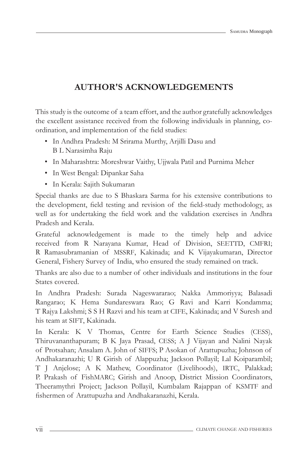# **AUTHOR'S ACKNOWLEDGEMENTS**

This study is the outcome of a team effort, and the author gratefully acknowledges the excellent assistance received from the following individuals in planning, coordination, and implementation of the field studies:

- In Andhra Pradesh: M Srirama Murthy, Arjilli Dasu and B L Narasimha Raju
- In Maharashtra: Moreshwar Vaithy, Ujjwala Patil and Purnima Meher
- In West Bengal: Dipankar Saha
- In Kerala: Sajith Sukumaran

Special thanks are due to S Bhaskara Sarma for his extensive contributions to the development, field testing and revision of the field-study methodology, as well as for undertaking the field work and the validation exercises in Andhra Pradesh and Kerala.

Grateful acknowledgement is made to the timely help and advice received from R Narayana Kumar, Head of Division, SEETTD, CMFRI; R Ramasubramanian of MSSRF, Kakinada; and K Vijayakumaran, Director General, Fishery Survey of India, who ensured the study remained on track.

Thanks are also due to a number of other individuals and institutions in the four States covered.

In Andhra Pradesh: Surada Nageswararao; Nakka Ammoriyya; Balasadi Rangarao; K Hema Sundareswara Rao; G Ravi and Karri Kondamma; T Rajya Lakshmi; S S H Razvi and his team at CIFE, Kakinada; and V Suresh and his team at SIFT, Kakinada.

In Kerala: K V Thomas, Centre for Earth Science Studies (CESS), Thiruvananthapuram; B K Jaya Prasad, CESS; A J Vijayan and Nalini Nayak of Protsahan; Ansalam A. John of SIFFS; P Asokan of Arattupuzha; Johnson of Andhakaranazhi; U R Girish of Alappuzha; Jackson Pollayil; Lal Koiparambil; T J Anjelose; A K Mathew, Coordinator (Livelihoods), IRTC, Palakkad; P. Prakash of FishMARC; Girish and Anoop, District Mission Coordinators, Theeramythri Project; Jackson Pollayil, Kumbalam Rajappan of KSMTF and fishermen of Arattupuzha and Andhakaranazhi, Kerala.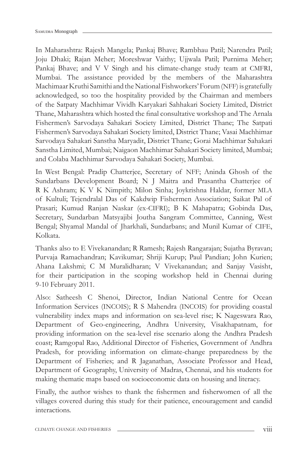In Maharashtra: Rajesh Mangela; Pankaj Bhave; Rambhau Patil; Narendra Patil; Joju Dhaki; Rajan Meher; Moreshwar Vaithy; Ujjwala Patil; Purnima Meher; Pankaj Bhave; and V V Singh and his climate-change study team at CMFRI, Mumbai. The assistance provided by the members of the Maharashtra Machimaar Kruthi Samithi and the National Fishworkers' Forum (NFF) is gratefully acknowledged, so too the hospitality provided by the Chairman and members of the Satpaty Machhimar Vividh Karyakari Sahhakari Society Limited, District Thane, Maharashtra which hosted the final consultative workshop and The Arnala Fishermen's Sarvodaya Sahakari Society Limited, District Thane; The Satpati Fishermen's Sarvodaya Sahakari Society limited, District Thane; Vasai Machhimar Sarvodaya Sahakari Sanstha Maryadit, District Thane; Gorai Machhimar Sahakari Sanstha Limited, Mumbai; Naigaon Machhimar Sahakari Society limited, Mumbai; and Colaba Machhimar Sarvodaya Sahakari Society, Mumbai.

In West Bengal: Pradip Chatterjee, Secretary of NFF; Aninda Ghosh of the Sundarbans Development Board; N J Maitra and Prasantha Chatterjee of R K Ashram; K V K Nimpith; Milon Sinha; Joykrishna Haldar, former MLA of Kultuli; Tejendralal Das of Kakdwip Fishermen Association; Saikat Pal of Prasari; Kumud Ranjan Naskar (ex-CIFRI); B K Mahapatra; Gobinda Das, Secretary, Sundarban Matsyajibi Joutha Sangram Committee, Canning, West Bengal; Shyamal Mandal of Jharkhali, Sundarbans; and Munil Kumar of CIFE, Kolkata.

Thanks also to E Vivekanandan; R Ramesh; Rajesh Rangarajan; Sujatha Byravan; Purvaja Ramachandran; Kavikumar; Shriji Kurup; Paul Pandian; John Kurien; Ahana Lakshmi; C M Muralidharan; V Vivekanandan; and Sanjay Vasisht, for their participation in the scoping workshop held in Chennai during 9-10 February 2011.

Also: Satheesh C Shenoi, Director, Indian National Centre for Ocean Information Services (INCOIS); R S Mahendra (INCOIS) for providing coastal vulnerability index maps and information on sea-level rise; K Nageswara Rao, Department of Geo-engineering, Andhra University, Visakhapatnam, for providing information on the sea-level rise scenario along the Andhra Pradesh coast; Ramgopal Rao, Additional Director of Fisheries, Government of Andhra Pradesh, for providing information on climate-change preparedness by the Department of Fisheries; and R Jaganathan, Associate Professor and Head, Department of Geography, University of Madras, Chennai, and his students for making thematic maps based on socioeconomic data on housing and literacy.

Finally, the author wishes to thank the fishermen and fisherwomen of all the villages covered during this study for their patience, encouragement and candid interactions.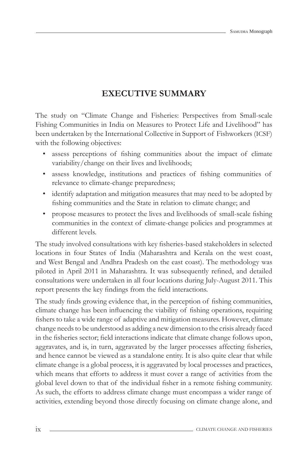# **EXECUTIVE SUMMARY**

The study on "Climate Change and Fisheries: Perspectives from Small-scale Fishing Communities in India on Measures to Protect Life and Livelihood" has been undertaken by the International Collective in Support of Fishworkers (ICSF) with the following objectives:

- assess perceptions of fishing communities about the impact of climate variability/change on their lives and livelihoods;
- assess knowledge, institutions and practices of fishing communities of relevance to climate-change preparedness;
- identify adaptation and mitigation measures that may need to be adopted by fishing communities and the State in relation to climate change; and
- propose measures to protect the lives and livelihoods of small-scale fishing communities in the context of climate-change policies and programmes at different levels.

The study involved consultations with key fisheries-based stakeholders in selected locations in four States of India (Maharashtra and Kerala on the west coast, and West Bengal and Andhra Pradesh on the east coast). The methodology was piloted in April 2011 in Maharashtra. It was subsequently refined, and detailed consultations were undertaken in all four locations during July-August 2011. This report presents the key findings from the field interactions.

The study finds growing evidence that, in the perception of fishing communities, climate change has been influencing the viability of fishing operations, requiring fishers to take a wide range of adaptive and mitigation measures. However, climate change needs to be understood as adding a new dimension to the crisis already faced in the fisheries sector; field interactions indicate that climate change follows upon, aggravates, and is, in turn, aggravated by the larger processes affecting fisheries, and hence cannot be viewed as a standalone entity. It is also quite clear that while climate change is a global process, it is aggravated by local processes and practices, which means that efforts to address it must cover a range of activities from the global level down to that of the individual fisher in a remote fishing community. As such, the efforts to address climate change must encompass a wider range of activities, extending beyond those directly focusing on climate change alone, and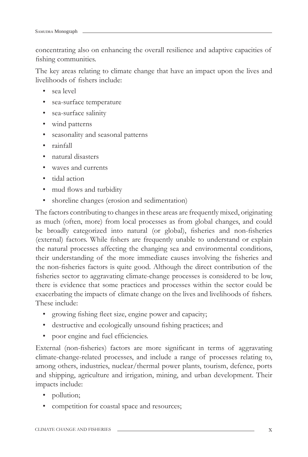concentrating also on enhancing the overall resilience and adaptive capacities of fishing communities.

The key areas relating to climate change that have an impact upon the lives and livelihoods of fishers include:

- sea level
- sea-surface temperature
- sea-surface salinity
- wind patterns
- seasonality and seasonal patterns
- rainfall
- natural disasters
- waves and currents
- tidal action
- mud flows and turbidity
- shoreline changes (erosion and sedimentation)

The factors contributing to changes in these areas are frequently mixed, originating as much (often, more) from local processes as from global changes, and could be broadly categorized into natural (or global), fisheries and non-fisheries (external) factors. While fishers are frequently unable to understand or explain the natural processes affecting the changing sea and environmental conditions, their understanding of the more immediate causes involving the fisheries and the non-fisheries factors is quite good. Although the direct contribution of the fisheries sector to aggravating climate-change processes is considered to be low, there is evidence that some practices and processes within the sector could be exacerbating the impacts of climate change on the lives and livelihoods of fishers. These include:

- growing fishing fleet size, engine power and capacity;
- destructive and ecologically unsound fishing practices; and
- poor engine and fuel efficiencies.

External (non-fisheries) factors are more significant in terms of aggravating climate-change-related processes, and include a range of processes relating to, among others, industries, nuclear/thermal power plants, tourism, defence, ports and shipping, agriculture and irrigation, mining, and urban development. Their impacts include:

- pollution;
- competition for coastal space and resources;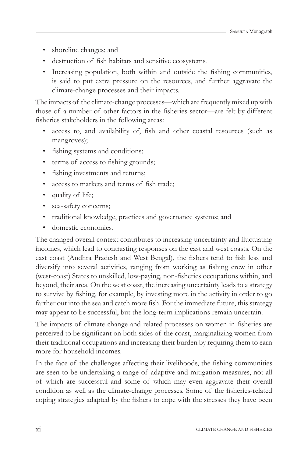- shoreline changes; and
- destruction of fish habitats and sensitive ecosystems.
- Increasing population, both within and outside the fishing communities, is said to put extra pressure on the resources, and further aggravate the climate-change processes and their impacts.

The impacts of the climate-change processes—which are frequently mixed up with those of a number of other factors in the fisheries sector-are felt by different fisheries stakeholders in the following areas:

- access to, and availability of, fish and other coastal resources (such as mangroves);
- fishing systems and conditions;
- terms of access to fishing grounds;
- fishing investments and returns;
- access to markets and terms of fish trade;
- quality of life;
- sea-safety concerns;
- traditional knowledge, practices and governance systems; and
- domestic economies.

The changed overall context contributes to increasing uncertainty and fluctuating incomes, which lead to contrasting responses on the east and west coasts. On the east coast (Andhra Pradesh and West Bengal), the fishers tend to fish less and diversify into several activities, ranging from working as fishing crew in other (west-coast) States to unskilled, low-paying, non-fisheries occupations within, and beyond, their area. On the west coast, the increasing uncertainty leads to a strategy to survive by fishing, for example, by investing more in the activity in order to go farther out into the sea and catch more fish. For the immediate future, this strategy may appear to be successful, but the long-term implications remain uncertain.

The impacts of climate change and related processes on women in fisheries are perceived to be significant on both sides of the coast, marginalizing women from their traditional occupations and increasing their burden by requiring them to earn more for household incomes.

In the face of the challenges affecting their livelihoods, the fishing communities are seen to be undertaking a range of adaptive and mitigation measures, not all of which are successful and some of which may even aggravate their overall condition as well as the climate-change processes. Some of the fisheries-related coping strategies adapted by the fishers to cope with the stresses they have been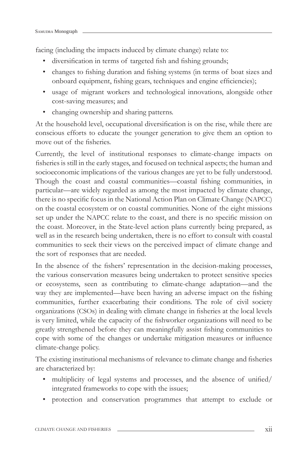facing (including the impacts induced by climate change) relate to:

- diversification in terms of targeted fish and fishing grounds;
- changes to fishing duration and fishing systems (in terms of boat sizes and onboard equipment, fishing gears, techniques and engine efficiencies);
- usage of migrant workers and technological innovations, alongside other cost-saving measures; and
- changing ownership and sharing patterns.

At the household level, occupational diversification is on the rise, while there are conscious efforts to educate the younger generation to give them an option to move out of the fisheries.

Currently, the level of institutional responses to climate-change impacts on fisheries is still in the early stages, and focused on technical aspects; the human and socioeconomic implications of the various changes are yet to be fully understood. Though the coast and coastal communities—coastal fishing communities, in particular—are widely regarded as among the most impacted by climate change, there is no specific focus in the National Action Plan on Climate Change (NAPCC) on the coastal ecosystem or on coastal communities. None of the eight missions set up under the NAPCC relate to the coast, and there is no specific mission on the coast. Moreover, in the State-level action plans currently being prepared, as well as in the research being undertaken, there is no effort to consult with coastal communities to seek their views on the perceived impact of climate change and the sort of responses that are needed.

In the absence of the fishers' representation in the decision-making processes, the various conservation measures being undertaken to protect sensitive species or ecosystems, seen as contributing to climate-change adaptation—and the way they are implemented—have been having an adverse impact on the fishing communities, further exacerbating their conditions. The role of civil society organizations (CSOs) in dealing with climate change in fisheries at the local levels is very limited, while the capacity of the fishworker organizations will need to be greatly strengthened before they can meaningfully assist fishing communities to cope with some of the changes or undertake mitigation measures or influence climate-change policy.

The existing institutional mechanisms of relevance to climate change and fisheries are characterized by:

- multiplicity of legal systems and processes, and the absence of unified/ integrated frameworks to cope with the issues;
- protection and conservation programmes that attempt to exclude or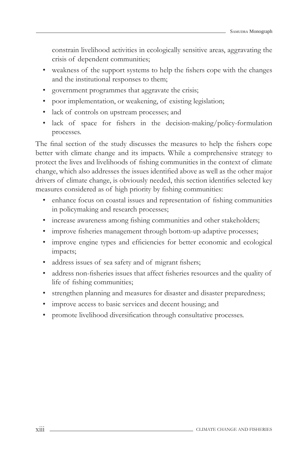constrain livelihood activities in ecologically sensitive areas, aggravating the crisis of dependent communities;

- weakness of the support systems to help the fishers cope with the changes and the institutional responses to them;
- government programmes that aggravate the crisis;
- poor implementation, or weakening, of existing legislation;
- lack of controls on upstream processes; and
- lack of space for fishers in the decision-making/policy-formulation processes.

The final section of the study discusses the measures to help the fishers cope better with climate change and its impacts. While a comprehensive strategy to protect the lives and livelihoods of fishing communities in the context of climate change, which also addresses the issues identified above as well as the other major drivers of climate change, is obviously needed, this section identifies selected key measures considered as of high priority by fishing communities:

- enhance focus on coastal issues and representation of fishing communities in policymaking and research processes;
- increase awareness among fishing communities and other stakeholders;
- improve fisheries management through bottom-up adaptive processes;
- improve engine types and efficiencies for better economic and ecological impacts;
- address issues of sea safety and of migrant fishers;
- address non-fisheries issues that affect fisheries resources and the quality of life of fishing communities;
- strengthen planning and measures for disaster and disaster preparedness;
- improve access to basic services and decent housing; and
- promote livelihood diversification through consultative processes.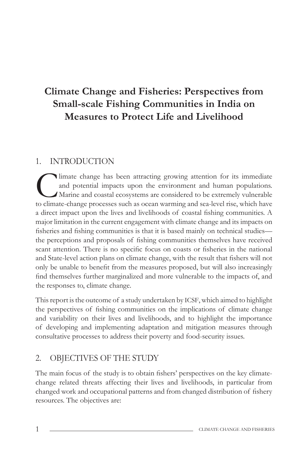# **Climate Change and Fisheries: Perspectives from Small-scale Fishing Communities in India on Measures to Protect Life and Livelihood**

# 1. INTRODUCTION

Imate change has been attracting growing attention for its immediate<br>and potential impacts upon the environment and human populations.<br>Marine and coastal ecosystems are considered to be extremely vulnerable<br>to climate-chan and potential impacts upon the environment and human populations. Marine and coastal ecosystems are considered to be extremely vulnerable to climate-change processes such as ocean warming and sea-level rise, which have a direct impact upon the lives and livelihoods of coastal fishing communities. A major limitation in the current engagement with climate change and its impacts on fisheries and fishing communities is that it is based mainly on technical studies the perceptions and proposals of fishing communities themselves have received scant attention. There is no specific focus on coasts or fisheries in the national and State-level action plans on climate change, with the result that fishers will not only be unable to benefit from the measures proposed, but will also increasingly find themselves further marginalized and more vulnerable to the impacts of, and the responses to, climate change.

This report is the outcome of a study undertaken by ICSF, which aimed to highlight the perspectives of fishing communities on the implications of climate change and variability on their lives and livelihoods, and to highlight the importance of developing and implementing adaptation and mitigation measures through consultative processes to address their poverty and food-security issues.

# 2. OBJECTIVES OF THE STUDY

The main focus of the study is to obtain fishers' perspectives on the key climatechange related threats affecting their lives and livelihoods, in particular from changed work and occupational patterns and from changed distribution of fishery resources. The objectives are: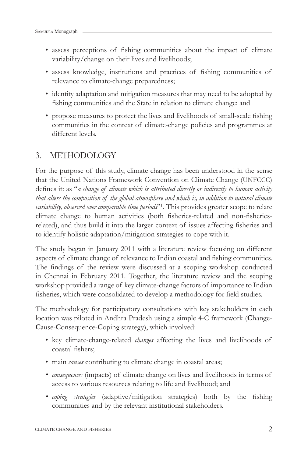- assess perceptions of fishing communities about the impact of climate variability/change on their lives and livelihoods;
- assess knowledge, institutions and practices of fishing communities of relevance to climate-change preparedness;
- identity adaptation and mitigation measures that may need to be adopted by fishing communities and the State in relation to climate change; and
- propose measures to protect the lives and livelihoods of small-scale fishing communities in the context of climate-change policies and programmes at different levels.

# 3. METHODOLOGY

For the purpose of this study, climate change has been understood in the sense that the United Nations Framework Convention on Climate Change (UNFCCC) defines it: as "*a change of climate which is attributed directly or indirectly to human activity that alters the composition of the global atmosphere and which is, in addition to natural climate variability, observed over comparable time periods*"1 . This provides greater scope to relate climate change to human activities (both fisheries-related and non-fisheriesrelated), and thus build it into the larger context of issues affecting fisheries and to identify holistic adaptation/mitigation strategies to cope with it.

The study began in January 2011 with a literature review focusing on different aspects of climate change of relevance to Indian coastal and fishing communities. The findings of the review were discussed at a scoping workshop conducted in Chennai in February 2011. Together, the literature review and the scoping workshop provided a range of key climate-change factors of importance to Indian fisheries, which were consolidated to develop a methodology for field studies.

The methodology for participatory consultations with key stakeholders in each location was piloted in Andhra Pradesh using a simple 4-C framework (**C**hange-**C**ause-**C**onsequence-**C**oping strategy), which involved:

- key climate-change-related *changes* affecting the lives and livelihoods of coastal fishers:
- main *causes* contributing to climate change in coastal areas;
- *consequences* (impacts) of climate change on lives and livelihoods in terms of access to various resources relating to life and livelihood; and
- coping strategies (adaptive/mitigation strategies) both by the fishing communities and by the relevant institutional stakeholders.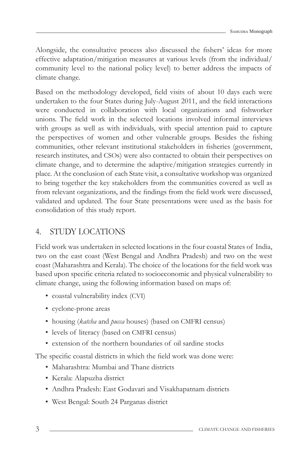Alongside, the consultative process also discussed the fishers' ideas for more effective adaptation/mitigation measures at various levels (from the individual/ community level to the national policy level) to better address the impacts of climate change.

Based on the methodology developed, field visits of about 10 days each were undertaken to the four States during July-August 2011, and the field interactions were conducted in collaboration with local organizations and fishworker unions. The field work in the selected locations involved informal interviews with groups as well as with individuals, with special attention paid to capture the perspectives of women and other vulnerable groups. Besides the fishing communities, other relevant institutional stakeholders in fisheries (government, research institutes, and CSOs) were also contacted to obtain their perspectives on climate change, and to determine the adaptive/mitigation strategies currently in place. At the conclusion of each State visit, a consultative workshop was organized to bring together the key stakeholders from the communities covered as well as from relevant organizations, and the findings from the field work were discussed, validated and updated. The four State presentations were used as the basis for consolidation of this study report.

# 4. STUDY LOCATIONS

Field work was undertaken in selected locations in the four coastal States of India, two on the east coast (West Bengal and Andhra Pradesh) and two on the west coast (Maharashtra and Kerala). The choice of the locations for the field work was based upon specific criteria related to socioeconomic and physical vulnerability to climate change, using the following information based on maps of:

- coastal vulnerability index (CVI)
- cyclone-prone areas
- housing (*katcha* and *pucca* houses) (based on CMFRI census)
- levels of literacy (based on CMFRI census)
- extension of the northern boundaries of oil sardine stocks

The specific coastal districts in which the field work was done were:

- Maharashtra: Mumbai and Thane districts
- Kerala: Alapuzha district
- Andhra Pradesh: East Godavari and Visakhapatnam districts
- West Bengal: South 24 Parganas district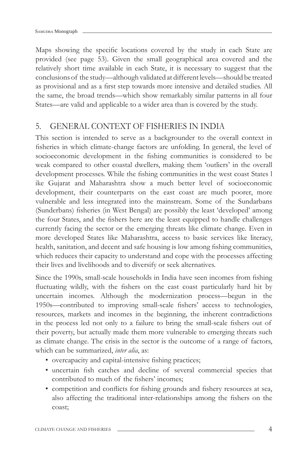Maps showing the specific locations covered by the study in each State are provided (see page 53). Given the small geographical area covered and the relatively short time available in each State, it is necessary to suggest that the conclusions of the study—although validated at different levels—should be treated as provisional and as a first step towards more intensive and detailed studies. All the same, the broad trends—which show remarkably similar patterns in all four States—are valid and applicable to a wider area than is covered by the study.

# 5. GENERAL CONTEXT OF FISHERIES IN INDIA

This section is intended to serve as a backgrounder to the overall context in fisheries in which climate-change factors are unfolding. In general, the level of socioeconomic development in the fishing communities is considered to be weak compared to other coastal dwellers, making them 'outliers' in the overall development processes. While the fishing communities in the west coast States l ike Gujarat and Maharashtra show a much better level of socioeconomic development, their counterparts on the east coast are much poorer, more vulnerable and less integrated into the mainstream. Some of the Sundarbans (Sunderbans) fisheries (in West Bengal) are possibly the least 'developed' among the four States, and the fishers here are the least equipped to handle challenges currently facing the sector or the emerging threats like climate change. Even in more developed States like Maharashtra, access to basic services like literacy, health, sanitation, and decent and safe housing is low among fishing communities, which reduces their capacity to understand and cope with the processes affecting their lives and livelihoods and to diversify or seek alternatives.

Since the 1990s, small-scale households in India have seen incomes from fishing fluctuating wildly, with the fishers on the east coast particularly hard hit by uncertain incomes. Although the modernization process—begun in the 1950s—contributed to improving small-scale fishers' access to technologies, resources, markets and incomes in the beginning, the inherent contradictions in the process led not only to a failure to bring the small-scale fishers out of their poverty, but actually made them more vulnerable to emerging threats such as climate change. The crisis in the sector is the outcome of a range of factors, which can be summarized, *inter alia*, as:

- overcapacity and capital-intensive fishing practices;
- uncertain fish catches and decline of several commercial species that contributed to much of the fishers' incomes;
- competition and conflicts for fishing grounds and fishery resources at sea, also affecting the traditional inter-relationships among the fishers on the coast;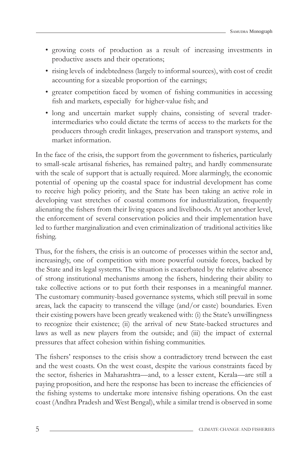- growing costs of production as a result of increasing investments in productive assets and their operations;
- rising levels of indebtedness (largely to informal sources), with cost of credit accounting for a sizeable proportion of the earnings;
- greater competition faced by women of fishing communities in accessing fish and markets, especially for higher-value fish; and
- long and uncertain market supply chains, consisting of several traderintermediaries who could dictate the terms of access to the markets for the producers through credit linkages, preservation and transport systems, and market information.

In the face of the crisis, the support from the government to fisheries, particularly to small-scale artisanal fisheries, has remained paltry, and hardly commensurate with the scale of support that is actually required. More alarmingly, the economic potential of opening up the coastal space for industrial development has come to receive high policy priority, and the State has been taking an active role in developing vast stretches of coastal commons for industrialization, frequently alienating the fishers from their living spaces and livelihoods. At yet another level, the enforcement of several conservation policies and their implementation have led to further marginalization and even criminalization of traditional activities like fishing.

Thus, for the fishers, the crisis is an outcome of processes within the sector and, increasingly, one of competition with more powerful outside forces, backed by the State and its legal systems. The situation is exacerbated by the relative absence of strong institutional mechanisms among the fishers, hindering their ability to take collective actions or to put forth their responses in a meaningful manner. The customary community-based governance systems, which still prevail in some areas, lack the capacity to transcend the village (and/or caste) boundaries. Even their existing powers have been greatly weakened with: (i) the State's unwillingness to recognize their existence; (ii) the arrival of new State-backed structures and laws as well as new players from the outside; and (iii) the impact of external pressures that affect cohesion within fishing communities.

The fishers' responses to the crisis show a contradictory trend between the east and the west coasts. On the west coast, despite the various constraints faced by the sector, fisheries in Maharashtra—and, to a lesser extent, Kerala—are still a paying proposition, and here the response has been to increase the efficiencies of the fishing systems to undertake more intensive fishing operations. On the east coast (Andhra Pradesh and West Bengal), while a similar trend is observed in some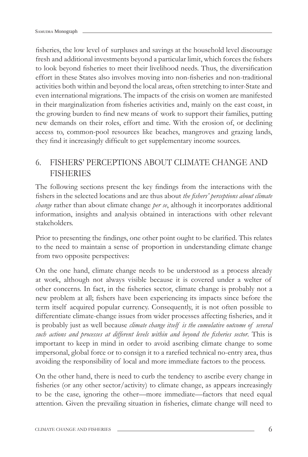fisheries, the low level of surpluses and savings at the household level discourage fresh and additional investments beyond a particular limit, which forces the fishers to look beyond fisheries to meet their livelihood needs. Thus, the diversification effort in these States also involves moving into non-fisheries and non-traditional activities both within and beyond the local areas, often stretching to inter-State and even international migrations. The impacts of the crisis on women are manifested in their marginalization from fisheries activities and, mainly on the east coast, in the growing burden to find new means of work to support their families, putting new demands on their roles, effort and time. With the erosion of, or declining access to, common-pool resources like beaches, mangroves and grazing lands, they find it increasingly difficult to get supplementary income sources.

# 6. FISHERS' PERCEPTIONS ABOUT CLIMATE CHANGE AND **FISHERIES**

The following sections present the key findings from the interactions with the fishers in the selected locations and are thus about *the fishers' perceptions about climate change* rather than about climate change *per se*, although it incorporates additional information, insights and analysis obtained in interactions with other relevant stakeholders.

Prior to presenting the findings, one other point ought to be clarified. This relates to the need to maintain a sense of proportion in understanding climate change from two opposite perspectives:

On the one hand, climate change needs to be understood as a process already at work, although not always visible because it is covered under a welter of other concerns. In fact, in the fisheries sector, climate change is probably not a new problem at all; fishers have been experiencing its impacts since before the term itself acquired popular currency. Consequently, it is not often possible to differentiate climate-change issues from wider processes affecting fisheries, and it is probably just as well because *climate change itself is the cumulative outcome of several such actions and processes at different levels within and beyond the fisheries sector.* This is important to keep in mind in order to avoid ascribing climate change to some impersonal, global force or to consign it to a rarefied technical no-entry area, thus avoiding the responsibility of local and more immediate factors to the process.

On the other hand, there is need to curb the tendency to ascribe every change in fisheries (or any other sector/activity) to climate change, as appears increasingly to be the case, ignoring the other—more immediate—factors that need equal attention. Given the prevailing situation in fisheries, climate change will need to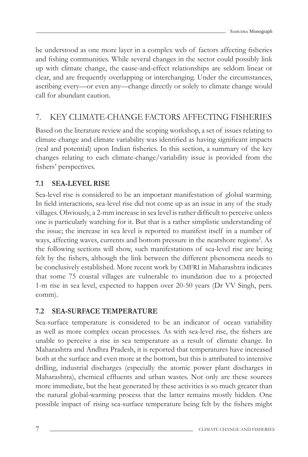be understood as one more layer in a complex web of factors affecting fisheries and fishing communities. While several changes in the sector could possibly link up with climate change, the cause-and-effect relationships are seldom linear or clear, and are frequently overlapping or interchanging. Under the circumstances, ascribing every—or even any—change directly or solely to climate change would call for abundant caution.

# 7. KEY CLIMATE-CHANGE FACTORS AFFECTING FISHERIES

Based on the literature review and the scoping workshop, a set of issues relating to climate change and climate variability was identified as having significant impacts (real and potential) upon Indian fisheries. In this section, a summary of the key changes relating to each climate-change/variability issue is provided from the fishers' perspectives.

# **7.1 SEA-LEVEL RISE**

Sea-level rise is considered to be an important manifestation of global warming. In field interactions, sea-level rise did not come up as an issue in any of the study villages. Obviously, a 2-mm increase in sea level is rather difficult to perceive unless one is particularly watching for it. But that is a rather simplistic understanding of the issue; the increase in sea level is reported to manifest itself in a number of ways, affecting waves, currents and bottom pressure in the nearshore regions<sup>2</sup>. As the following sections will show, such manifestations of sea-level rise are being felt by the fishers, although the link between the different phenomena needs to be conclusively established. More recent work by CMFRI in Maharashtra indicates that some 75 coastal villages are vulnerable to inundation due to a projected 1-m rise in sea level, expected to happen over 20-50 years (Dr VV Singh, pers. comm).

## **7.2 SEA-SURFACE TEMPERATURE**

Sea-surface temperature is considered to be an indicator of ocean variability as well as more complex ocean processes. As with sea-level rise, the fishers are unable to perceive a rise in sea temperature as a result of climate change. In Maharashtra and Andhra Pradesh, it is reported that temperatures have increased both at the surface and even more at the bottom, but this is attributed to intensive drilling, industrial discharges (especially the atomic power plant discharges in Maharashtra), chemical effluents and urban wastes. Not only are these sources more immediate, but the heat generated by these activities is so much greater than the natural global-warming process that the latter remains mostly hidden. One possible impact of rising sea-surface temperature being felt by the fishers might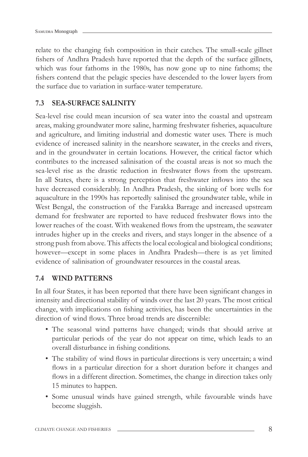relate to the changing fish composition in their catches. The small-scale gillnet fishers of Andhra Pradesh have reported that the depth of the surface gillnets, which was four fathoms in the 1980s, has now gone up to nine fathoms; the fishers contend that the pelagic species have descended to the lower layers from the surface due to variation in surface-water temperature.

## **7.3 SEA-SURFACE SALINITY**

Sea-level rise could mean incursion of sea water into the coastal and upstream areas, making groundwater more saline, harming freshwater fisheries, aquaculture and agriculture, and limiting industrial and domestic water uses. There is much evidence of increased salinity in the nearshore seawater, in the creeks and rivers, and in the groundwater in certain locations. However, the critical factor which contributes to the increased salinisation of the coastal areas is not so much the sea-level rise as the drastic reduction in freshwater flows from the upstream. In all States, there is a strong perception that freshwater inflows into the sea have decreased considerably. In Andhra Pradesh, the sinking of bore wells for aquaculture in the 1990s has reportedly salinised the groundwater table, while in West Bengal, the construction of the Farakka Barrage and increased upstream demand for freshwater are reported to have reduced freshwater flows into the lower reaches of the coast. With weakened flows from the upstream, the seawater intrudes higher up in the creeks and rivers, and stays longer in the absence of a strong push from above. This affects the local ecological and biological conditions; however—except in some places in Andhra Pradesh—there is as yet limited evidence of salinisation of groundwater resources in the coastal areas.

### **7.4 WIND PATTERNS**

In all four States, it has been reported that there have been significant changes in intensity and directional stability of winds over the last 20 years. The most critical change, with implications on fishing activities, has been the uncertainties in the direction of wind flows. Three broad trends are discernible:

- The seasonal wind patterns have changed; winds that should arrive at particular periods of the year do not appear on time, which leads to an overall disturbance in fishing conditions.
- The stability of wind flows in particular directions is very uncertain; a wind flows in a particular direction for a short duration before it changes and flows in a different direction. Sometimes, the change in direction takes only 15 minutes to happen.
- Some unusual winds have gained strength, while favourable winds have become sluggish.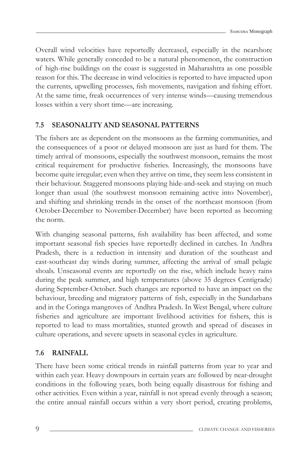Overall wind velocities have reportedly decreased, especially in the nearshore waters. While generally conceded to be a natural phenomenon, the construction of high-rise buildings on the coast is suggested in Maharashtra as one possible reason for this. The decrease in wind velocities is reported to have impacted upon the currents, upwelling processes, fish movements, navigation and fishing effort. At the same time, freak occurrences of very intense winds—causing tremendous losses within a very short time—are increasing.

# **7.5 SEASONALITY AND SEASONAL PATTERNS**

The fishers are as dependent on the monsoons as the farming communities, and the consequences of a poor or delayed monsoon are just as hard for them. The timely arrival of monsoons, especially the southwest monsoon, remains the most critical requirement for productive fisheries. Increasingly, the monsoons have become quite irregular; even when they arrive on time, they seem less consistent in their behaviour. Staggered monsoons playing hide-and-seek and staying on much longer than usual (the southwest monsoon remaining active into November), and shifting and shrinking trends in the onset of the northeast monsoon (from October-December to November-December) have been reported as becoming the norm.

With changing seasonal patterns, fish availability has been affected, and some important seasonal fish species have reportedly declined in catches. In Andhra Pradesh, there is a reduction in intensity and duration of the southeast and east-southeast day winds during summer, affecting the arrival of small pelagic shoals. Unseasonal events are reportedly on the rise, which include heavy rains during the peak summer, and high temperatures (above 35 degrees Centigrade) during September-October. Such changes are reported to have an impact on the behaviour, breeding and migratory patterns of fish, especially in the Sundarbans and in the Coringa mangroves of Andhra Pradesh. In West Bengal, where culture fisheries and agriculture are important livelihood activities for fishers, this is reported to lead to mass mortalities, stunted growth and spread of diseases in culture operations, and severe upsets in seasonal cycles in agriculture.

## **7.6 RAINFALL**

There have been some critical trends in rainfall patterns from year to year and within each year. Heavy downpours in certain years are followed by near-drought conditions in the following years, both being equally disastrous for fishing and other activities. Even within a year, rainfall is not spread evenly through a season; the entire annual rainfall occurs within a very short period, creating problems,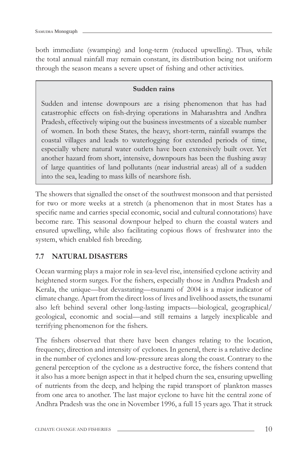both immediate (swamping) and long-term (reduced upwelling). Thus, while the total annual rainfall may remain constant, its distribution being not uniform through the season means a severe upset of fishing and other activities.

#### **Sudden rains**

Sudden and intense downpours are a rising phenomenon that has had catastrophic effects on fish-drying operations in Maharashtra and Andhra Pradesh, effectively wiping out the business investments of a sizeable number of women. In both these States, the heavy, short-term, rainfall swamps the coastal villages and leads to waterlogging for extended periods of time, especially where natural water outlets have been extensively built over. Yet another hazard from short, intensive, downpours has been the flushing away of large quantities of land pollutants (near industrial areas) all of a sudden into the sea, leading to mass kills of nearshore fish.

The showers that signalled the onset of the southwest monsoon and that persisted for two or more weeks at a stretch (a phenomenon that in most States has a specific name and carries special economic, social and cultural connotations) have become rare. This seasonal downpour helped to churn the coastal waters and ensured upwelling, while also facilitating copious flows of freshwater into the system, which enabled fish breeding.

## **7.7 NATURAL DISASTERS**

Ocean warming plays a major role in sea-level rise, intensified cyclone activity and heightened storm surges. For the fishers, especially those in Andhra Pradesh and Kerala, the unique—but devastating—tsunami of 2004 is a major indicator of climate change. Apart from the direct loss of lives and livelihood assets, the tsunami also left behind several other long-lasting impacts—biological, geographical/ geological, economic and social—and still remains a largely inexplicable and terrifying phenomenon for the fishers.

The fishers observed that there have been changes relating to the location, frequency, direction and intensity of cyclones. In general, there is a relative decline in the number of cyclones and low-pressure areas along the coast. Contrary to the general perception of the cyclone as a destructive force, the fishers contend that it also has a more benign aspect in that it helped churn the sea, ensuring upwelling of nutrients from the deep, and helping the rapid transport of plankton masses from one area to another. The last major cyclone to have hit the central zone of Andhra Pradesh was the one in November 1996, a full 15 years ago. That it struck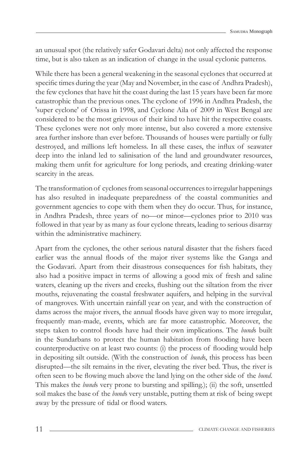an unusual spot (the relatively safer Godavari delta) not only affected the response time, but is also taken as an indication of change in the usual cyclonic patterns.

While there has been a general weakening in the seasonal cyclones that occurred at specific times during the year (May and November, in the case of Andhra Pradesh), the few cyclones that have hit the coast during the last 15 years have been far more catastrophic than the previous ones. The cyclone of 1996 in Andhra Pradesh, the 'super cyclone' of Orissa in 1998, and Cyclone Aila of 2009 in West Bengal are considered to be the most grievous of their kind to have hit the respective coasts. These cyclones were not only more intense, but also covered a more extensive area further inshore than ever before. Thousands of houses were partially or fully destroyed, and millions left homeless. In all these cases, the influx of seawater deep into the inland led to salinisation of the land and groundwater resources, making them unfit for agriculture for long periods, and creating drinking-water scarcity in the areas.

The transformation of cyclones from seasonal occurrences to irregular happenings has also resulted in inadequate preparedness of the coastal communities and government agencies to cope with them when they do occur. Thus, for instance, in Andhra Pradesh, three years of no—or minor—cyclones prior to 2010 was followed in that year by as many as four cyclone threats, leading to serious disarray within the administrative machinery.

Apart from the cyclones, the other serious natural disaster that the fishers faced earlier was the annual floods of the major river systems like the Ganga and the Godavari. Apart from their disastrous consequences for fish habitats, they also had a positive impact in terms of allowing a good mix of fresh and saline waters, cleaning up the rivers and creeks, flushing out the siltation from the river mouths, rejuvenating the coastal freshwater aquifers, and helping in the survival of mangroves. With uncertain rainfall year on year, and with the construction of dams across the major rivers, the annual floods have given way to more irregular, frequently man-made, events, which are far more catastrophic. Moreover, the steps taken to control floods have had their own implications. The *bunds* built in the Sundarbans to protect the human habitation from flooding have been counterproductive on at least two counts: (i) the process of flooding would help in depositing silt outside. (With the construction of *bund*s, this process has been disrupted—the silt remains in the river, elevating the river bed. Thus, the river is often seen to be flowing much above the land lying on the other side of the *bund*. This makes the *bund*s very prone to bursting and spilling.); (ii) the soft, unsettled soil makes the base of the *bund*s very unstable, putting them at risk of being swept away by the pressure of tidal or flood waters.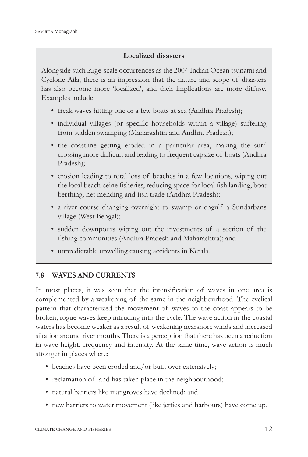#### **Localized disasters**

Alongside such large-scale occurrences as the 2004 Indian Ocean tsunami and Cyclone Aila, there is an impression that the nature and scope of disasters has also become more 'localized', and their implications are more diffuse. Examples include:

- freak waves hitting one or a few boats at sea (Andhra Pradesh);
- individual villages (or specific households within a village) suffering from sudden swamping (Maharashtra and Andhra Pradesh);
- the coastline getting eroded in a particular area, making the surf crossing more difficult and leading to frequent capsize of boats (Andhra Pradesh);
- erosion leading to total loss of beaches in a few locations, wiping out the local beach-seine fisheries, reducing space for local fish landing, boat berthing, net mending and fish trade (Andhra Pradesh);
- a river course changing overnight to swamp or engulf a Sundarbans village (West Bengal);
- sudden downpours wiping out the investments of a section of the fishing communities (Andhra Pradesh and Maharashtra); and
- unpredictable upwelling causing accidents in Kerala.

### **7.8 WAVES AND CURRENTS**

In most places, it was seen that the intensification of waves in one area is complemented by a weakening of the same in the neighbourhood. The cyclical pattern that characterized the movement of waves to the coast appears to be broken; rogue waves keep intruding into the cycle. The wave action in the coastal waters has become weaker as a result of weakening nearshore winds and increased siltation around river mouths. There is a perception that there has been a reduction in wave height, frequency and intensity. At the same time, wave action is much stronger in places where:

- beaches have been eroded and/or built over extensively;
- reclamation of land has taken place in the neighbourhood;
- natural barriers like mangroves have declined; and
- new barriers to water movement (like jetties and harbours) have come up.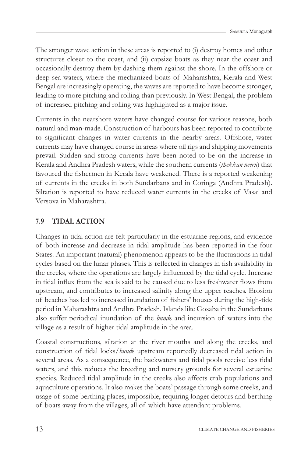The stronger wave action in these areas is reported to (i) destroy homes and other structures closer to the coast, and (ii) capsize boats as they near the coast and occasionally destroy them by dashing them against the shore. In the offshore or deep-sea waters, where the mechanized boats of Maharashtra, Kerala and West Bengal are increasingly operating, the waves are reported to have become stronger, leading to more pitching and rolling than previously. In West Bengal, the problem of increased pitching and rolling was highlighted as a major issue.

Currents in the nearshore waters have changed course for various reasons, both natural and man-made. Construction of harbours has been reported to contribute to significant changes in water currents in the nearby areas. Offshore, water currents may have changed course in areas where oil rigs and shipping movements prevail. Sudden and strong currents have been noted to be on the increase in Kerala and Andhra Pradesh waters, while the southern currents (*thekkan neeru*) that favoured the fishermen in Kerala have weakened. There is a reported weakening of currents in the creeks in both Sundarbans and in Coringa (Andhra Pradesh). Siltation is reported to have reduced water currents in the creeks of Vasai and Versova in Maharashtra.

# **7.9 TIDAL ACTION**

Changes in tidal action are felt particularly in the estuarine regions, and evidence of both increase and decrease in tidal amplitude has been reported in the four States. An important (natural) phenomenon appears to be the fluctuations in tidal cycles based on the lunar phases. This is reflected in changes in fish availability in the creeks, where the operations are largely influenced by the tidal cycle. Increase in tidal influx from the sea is said to be caused due to less freshwater flows from upstream, and contributes to increased salinity along the upper reaches. Erosion of beaches has led to increased inundation of fishers' houses during the high-tide period in Maharashtra and Andhra Pradesh. Islands like Gosaba in the Sundarbans also suffer periodical inundation of the *bund*s and incursion of waters into the village as a result of higher tidal amplitude in the area.

Coastal constructions, siltation at the river mouths and along the creeks, and construction of tidal locks/*bund*s upstream reportedly decreased tidal action in several areas. As a consequence, the backwaters and tidal pools receive less tidal waters, and this reduces the breeding and nursery grounds for several estuarine species. Reduced tidal amplitude in the creeks also affects crab populations and aquaculture operations. It also makes the boats' passage through some creeks, and usage of some berthing places, impossible, requiring longer detours and berthing of boats away from the villages, all of which have attendant problems.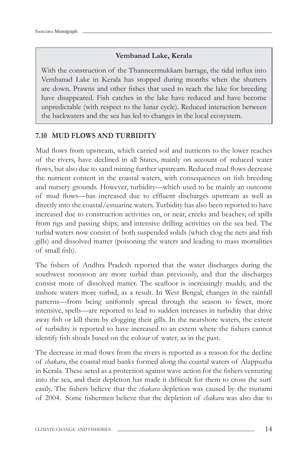#### **Vembanad Lake, Kerala**

With the construction of the Thanneermukkam barrage, the tidal influx into Vembanad Lake in Kerala has stopped during months when the shutters are down. Prawns and other fishes that used to reach the lake for breeding have disappeared. Fish catches in the lake have reduced and have become unpredictable (with respect to the lunar cycle). Reduced interaction between the backwaters and the sea has led to changes in the local ecosystem.

#### **7.10 MUD FLOWS AND TURBIDITY**

Mud flows from upstream, which carried soil and nutrients to the lower reaches of the rivers, have declined in all States, mainly on account of reduced water flows, but also due to sand mining further upstream. Reduced mud flows decrease the nutrient content in the coastal waters, with consequences on fish breeding and nursery grounds. However, turbidity—which used to be mainly an outcome of mud flows—has increased due to effluent discharges upstream as well as directly into the coastal/estuarine waters. Turbidity has also been reported to have increased due to construction activities on, or near, creeks and beaches; oil spills from rigs and passing ships; and intensive drilling activities on the sea bed. The turbid waters now consist of both suspended solids (which clog the nets and fish gills) and dissolved matter (poisoning the waters and leading to mass mortalities of small fish).

The fishers of Andhra Pradesh reported that the water discharges during the southwest monsoon are more turbid than previously, and that the discharges consist more of dissolved matter. The seafloor is increasingly muddy, and the inshore waters more turbid, as a result. In West Bengal, changes in the rainfall patterns—from being uniformly spread through the season to fewer, more intensive, spells—are reported to lead to sudden increases in turbidity that drive away fish or kill them by clogging their gills. In the nearshore waters, the extent of turbidity is reported to have increased to an extent where the fishers cannot identify fish shoals based on the colour of water, as in the past.

The decrease in mud flows from the rivers is reported as a reason for the decline of *chakara*, the coastal mud banks formed along the coastal waters of Alappuzha in Kerala. These acted as a protection against wave action for the fishers venturing into the sea, and their depletion has made it difficult for them to cross the surf easily. The fishers believe that the *chakara* depletion was caused by the tsunami of 2004. Some fishermen believe that the depletion of *chakara* was also due to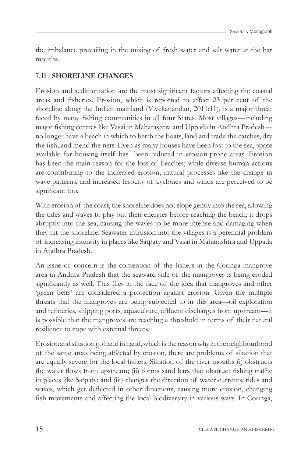the imbalance prevailing in the mixing of fresh water and salt water at the bar mouths.

## **7.11 SHORELINE CHANGES**

Erosion and sedimentation are the most significant factors affecting the coastal areas and fisheries. Erosion, which is reported to affect 23 per cent of the shoreline along the Indian mainland (Vivekanandan, 2011:11), is a major threat faced by many fishing communities in all four States. Most villages—including major fishing centres like Vasai in Maharashtra and Uppada in Andhra Pradesh no longer have a beach in which to berth the boats, land and trade the catches, dry the fish, and mend the nets. Even as many houses have been lost to the sea, space available for housing itself has been reduced in erosion-prone areas. Erosion has been the main reason for the loss of beaches; while diverse human actions are contributing to the increased erosion, natural processes like the change in wave patterns, and increased ferocity of cyclones and winds are perceived to be significant too.

With erosion of the coast, the shoreline does not slope gently into the sea, allowing the tides and waves to play out their energies before reaching the beach; it drops abruptly into the sea, causing the waves to be more intense and damaging when they hit the shoreline. Seawater intrusion into the villages is a perennial problem of increasing intensity in places like Satpaty and Vasai in Maharashtra and Uppada in Andhra Pradesh.

An issue of concern is the contention of the fishers in the Coringa mangrove area in Andhra Pradesh that the seaward side of the mangroves is being eroded significantly as well. This flies in the face of the idea that mangroves and other 'green belts' are considered a protection against erosion. Given the multiple threats that the mangroves are being subjected to in this area—oil exploration and refineries, shipping ports, aquaculture, effluent discharges from upstream—it is possible that the mangroves are reaching a threshold in terms of their natural resilience to cope with external threats.

Erosion and siltation go hand in hand, which is the reason why in the neighbourhood of the same areas being affected by erosion, there are problems of siltation that are equally severe for the local fishers. Siltation of the river mouths (i) obstructs the water flows from upstream; (ii) forms sand bars that obstruct fishing traffic in places like Satpaty; and (iii) changes the direction of water currents, tides and waves, which get deflected in other directions, causing more erosion, changing fish movements and affecting the local biodiversity in various ways. In Coringa,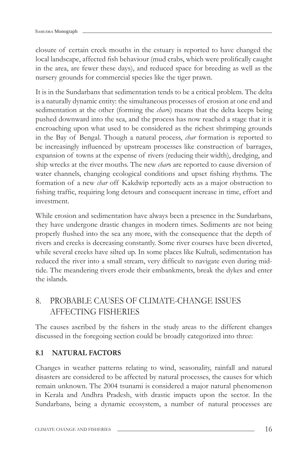closure of certain creek mouths in the estuary is reported to have changed the local landscape, affected fish behaviour (mud crabs, which were prolifically caught in the area, are fewer these days), and reduced space for breeding as well as the nursery grounds for commercial species like the tiger prawn.

It is in the Sundarbans that sedimentation tends to be a critical problem. The delta is a naturally dynamic entity: the simultaneous processes of erosion at one end and sedimentation at the other (forming the *char*s) means that the delta keeps being pushed downward into the sea, and the process has now reached a stage that it is encroaching upon what used to be considered as the richest shrimping grounds in the Bay of Bengal. Though a natural process, *char* formation is reported to be increasingly influenced by upstream processes like construction of barrages, expansion of towns at the expense of rivers (reducing their width), dredging, and ship wrecks at the river mouths. The new *char*s are reported to cause diversion of water channels, changing ecological conditions and upset fishing rhythms. The formation of a new *char* off Kakdwip reportedly acts as a major obstruction to fishing traffic, requiring long detours and consequent increase in time, effort and investment.

While erosion and sedimentation have always been a presence in the Sundarbans, they have undergone drastic changes in modern times. Sediments are not being properly flushed into the sea any more, with the consequence that the depth of rivers and creeks is decreasing constantly. Some river courses have been diverted, while several creeks have silted up. In some places like Kultuli, sedimentation has reduced the river into a small stream, very difficult to navigate even during midtide. The meandering rivers erode their embankments, break the dykes and enter the islands.

# 8. PROBABLE CAUSES OF CLIMATE-CHANGE ISSUES AFFECTING FISHERIES

The causes ascribed by the fishers in the study areas to the different changes discussed in the foregoing section could be broadly categorized into three:

### **8.1 NATURAL FACTORS**

Changes in weather patterns relating to wind, seasonality, rainfall and natural disasters are considered to be affected by natural processes, the causes for which remain unknown. The 2004 tsunami is considered a major natural phenomenon in Kerala and Andhra Pradesh, with drastic impacts upon the sector. In the Sundarbans, being a dynamic ecosystem, a number of natural processes are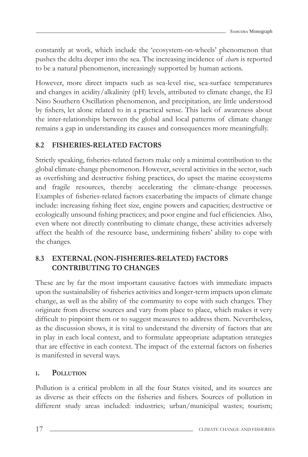constantly at work, which include the 'ecosystem-on-wheels' phenomenon that pushes the delta deeper into the sea. The increasing incidence of *char*s is reported to be a natural phenomenon, increasingly supported by human actions.

However, more direct impacts such as sea-level rise, sea-surface temperatures and changes in acidity/alkalinity (pH) levels, attributed to climate change, the El Nino Southern Oscillation phenomenon, and precipitation, are little understood by fi shers, let alone related to in a practical sense. This lack of awareness about the inter-relationships between the global and local patterns of climate change remains a gap in understanding its causes and consequences more meaningfully.

# **8.2 FISHERIES-RELATED FACTORS**

Strictly speaking, fisheries-related factors make only a minimal contribution to the global climate-change phenomenon. However, several activities in the sector, such as overfishing and destructive fishing practices, do upset the marine ecosystems and fragile resources, thereby accelerating the climate-change processes. Examples of fisheries-related factors exacerbating the impacts of climate change include: increasing fishing fleet size, engine powers and capacities; destructive or ecologically unsound fishing practices; and poor engine and fuel efficiencies. Also, even where not directly contributing to climate change, these activities adversely affect the health of the resource base, undermining fishers' ability to cope with the changes.

# **8.3 EXTERNAL (NON-FISHERIES-RELATED) FACTORS CONTRIBUTING TO CHANGES**

These are by far the most important causative factors with immediate impacts upon the sustainability of fisheries activities and longer-term impacts upon climate change, as well as the ability of the community to cope with such changes. They originate from diverse sources and vary from place to place, which makes it very difficult to pinpoint them or to suggest measures to address them. Nevertheless, as the discussion shows, it is vital to understand the diversity of factors that are in play in each local context, and to formulate appropriate adaptation strategies that are effective in each context. The impact of the external factors on fisheries is manifested in several ways.

## **I. POLLUTION**

Pollution is a critical problem in all the four States visited, and its sources are as diverse as their effects on the fisheries and fishers. Sources of pollution in different study areas included: industries; urban/municipal wastes; tourism;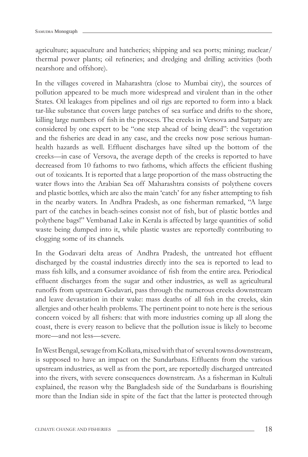agriculture; aquaculture and hatcheries; shipping and sea ports; mining; nuclear/ thermal power plants; oil refineries; and dredging and drilling activities (both nearshore and offshore).

In the villages covered in Maharashtra (close to Mumbai city), the sources of pollution appeared to be much more widespread and virulent than in the other States. Oil leakages from pipelines and oil rigs are reported to form into a black tar-like substance that covers large patches of sea surface and drifts to the shore, killing large numbers of fish in the process. The creeks in Versova and Satpaty are considered by one expert to be "one step ahead of being dead": the vegetation and the fisheries are dead in any case, and the creeks now pose serious humanhealth hazards as well. Effluent discharges have silted up the bottom of the creeks—in case of Versova, the average depth of the creeks is reported to have decreased from 10 fathoms to two fathoms, which affects the efficient flushing out of toxicants. It is reported that a large proportion of the mass obstructing the water flows into the Arabian Sea off Maharashtra consists of polythene covers and plastic bottles, which are also the main 'catch' for any fisher attempting to fish in the nearby waters. In Andhra Pradesh, as one fisherman remarked, "A large part of the catches in beach-seines consist not of fish, but of plastic bottles and polythene bags!" Vembanad Lake in Kerala is affected by large quantities of solid waste being dumped into it, while plastic wastes are reportedly contributing to clogging some of its channels.

In the Godavari delta areas of Andhra Pradesh, the untreated hot effluent discharged by the coastal industries directly into the sea is reported to lead to mass fish kills, and a consumer avoidance of fish from the entire area. Periodical effluent discharges from the sugar and other industries, as well as agricultural runoffs from upstream Godavari, pass through the numerous creeks downstream and leave devastation in their wake: mass deaths of all fish in the creeks, skin allergies and other health problems. The pertinent point to note here is the serious concern voiced by all fishers: that with more industries coming up all along the coast, there is every reason to believe that the pollution issue is likely to become more—and not less—severe.

In West Bengal, sewage from Kolkata, mixed with that of several towns downstream, is supposed to have an impact on the Sundarbans. Effluents from the various upstream industries, as well as from the port, are reportedly discharged untreated into the rivers, with severe consequences downstream. As a fisherman in Kultuli explained, the reason why the Bangladesh side of the Sundarbans is flourishing more than the Indian side in spite of the fact that the latter is protected through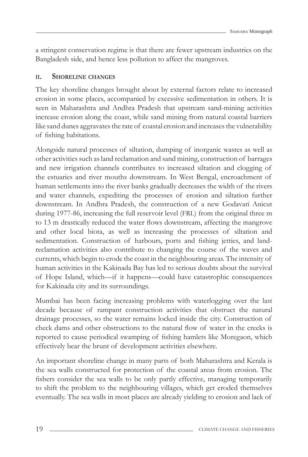a stringent conservation regime is that there are fewer upstream industries on the Bangladesh side, and hence less pollution to affect the mangroves.

#### **II. SHORELINE CHANGES**

The key shoreline changes brought about by external factors relate to increased erosion in some places, accompanied by excessive sedimentation in others. It is seen in Maharashtra and Andhra Pradesh that upstream sand-mining activities increase erosion along the coast, while sand mining from natural coastal barriers like sand dunes aggravates the rate of coastal erosion and increases the vulnerability of fishing habitations.

Alongside natural processes of siltation, dumping of inorganic wastes as well as other activities such as land reclamation and sand mining, construction of barrages and new irrigation channels contributes to increased siltation and clogging of the estuaries and river mouths downstream. In West Bengal, encroachment of human settlements into the river banks gradually decreases the width of the rivers and water channels, expediting the processes of erosion and siltation further downstream. In Andhra Pradesh, the construction of a new Godavari Anicut during 1977-86, increasing the full reservoir level (FRL) from the original three m to 13 m drastically reduced the water flows downstream, affecting the mangrove and other local biota, as well as increasing the processes of siltation and sedimentation. Construction of harbours, ports and fishing jetties, and landreclamation activities also contribute to changing the course of the waves and currents, which begin to erode the coast in the neighbouring areas. The intensity of human activities in the Kakinada Bay has led to serious doubts about the survival of Hope Island, which—if it happens—could have catastrophic consequences for Kakinada city and its surroundings.

Mumbai has been facing increasing problems with waterlogging over the last decade because of rampant construction activities that obstruct the natural drainage processes, so the water remains locked inside the city. Construction of check dams and other obstructions to the natural flow of water in the creeks is reported to cause periodical swamping of fishing hamlets like Moregaon, which effectively bear the brunt of development activities elsewhere.

An important shoreline change in many parts of both Maharashtra and Kerala is the sea walls constructed for protection of the coastal areas from erosion. The fishers consider the sea walls to be only partly effective, managing temporarily to shift the problem to the neighbouring villages, which get eroded themselves eventually. The sea walls in most places are already yielding to erosion and lack of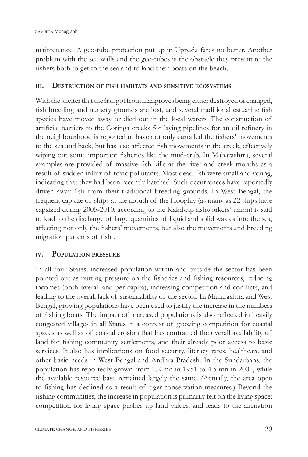maintenance. A geo-tube protection put up in Uppada fares no better. Another problem with the sea walls and the geo-tubes is the obstacle they present to the fishers both to get to the sea and to land their boats on the beach.

#### **III. DESTRUCTION OF FISH HABITATS AND SENSITIVE ECOSYSTEMS**

With the shelter that the fish got from mangroves being either destroyed or changed, fish breeding and nursery grounds are lost, and several traditional estuarine fish species have moved away or died out in the local waters. The construction of artificial barriers to the Coringa creeks for laying pipelines for an oil refinery in the neighbourhood is reported to have not only curtailed the fishers' movements to the sea and back, but has also affected fish movements in the creek, effectively wiping out some important fisheries like the mud-crab. In Maharashtra, several examples are provided of massive fish kills at the river and creek mouths as a result of sudden influx of toxic pollutants. Most dead fish were small and young, indicating that they had been recently hatched. Such occurrences have reportedly driven away fish from their traditional breeding grounds. In West Bengal, the frequent capsize of ships at the mouth of the Hooghly (as many as 22 ships have capsized during 2005-2010, according to the Kakdwip fishworkers' union) is said to lead to the discharge of large quantities of liquid and solid wastes into the sea, affecting not only the fishers' movements, but also the movements and breeding migration patterns of fish.

#### **IV. POPULATION PRESSURE**

In all four States, increased population within and outside the sector has been pointed out as putting pressure on the fisheries and fishing resources, reducing incomes (both overall and per capita), increasing competition and conflicts, and leading to the overall lack of sustainability of the sector. In Maharashtra and West Bengal, growing populations have been used to justify the increase in the numbers of fishing boats. The impact of increased populations is also reflected in heavily congested villages in all States in a context of growing competition for coastal spaces as well as of coastal erosion that has contracted the overall availability of land for fishing community settlements, and their already poor access to basic services. It also has implications on food security, literacy rates, healthcare and other basic needs in West Bengal and Andhra Pradesh. In the Sundarbans, the population has reportedly grown from 1.2 mn in 1951 to 4.5 mn in 2001, while the available resource base remained largely the same. (Actually, the area open to fishing has declined as a result of tiger-conservation measures.) Beyond the fishing communities, the increase in population is primarily felt on the living space; competition for living space pushes up land values, and leads to the alienation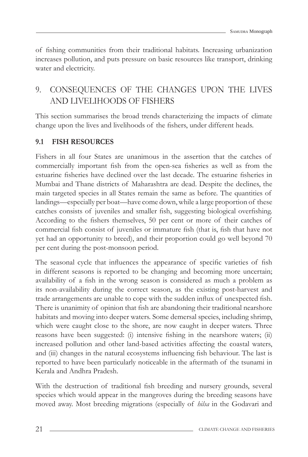of fishing communities from their traditional habitats. Increasing urbanization increases pollution, and puts pressure on basic resources like transport, drinking water and electricity.

## 9. CONSEQUENCES OF THE CHANGES UPON THE LIVES AND LIVELIHOODS OF FISHERS

This section summarises the broad trends characterizing the impacts of climate change upon the lives and livelihoods of the fishers, under different heads.

## **9.1 FISH RESOURCES**

Fishers in all four States are unanimous in the assertion that the catches of commercially important fish from the open-sea fisheries as well as from the estuarine fisheries have declined over the last decade. The estuarine fisheries in Mumbai and Thane districts of Maharashtra are dead. Despite the declines, the main targeted species in all States remain the same as before. The quantities of landings—especially per boat—have come down, while a large proportion of these catches consists of juveniles and smaller fish, suggesting biological overfishing. According to the fishers themselves, 50 per cent or more of their catches of commercial fish consist of juveniles or immature fish (that is, fish that have not yet had an opportunity to breed), and their proportion could go well beyond 70 per cent during the post-monsoon period.

The seasonal cycle that influences the appearance of specific varieties of fish in different seasons is reported to be changing and becoming more uncertain; availability of a fish in the wrong season is considered as much a problem as its non-availability during the correct season, as the existing post-harvest and trade arrangements are unable to cope with the sudden influx of unexpected fish. There is unanimity of opinion that fish are abandoning their traditional nearshore habitats and moving into deeper waters. Some demersal species, including shrimp, which were caught close to the shore, are now caught in deeper waters. Three reasons have been suggested: (i) intensive fishing in the nearshore waters; (ii) increased pollution and other land-based activities affecting the coastal waters, and (iii) changes in the natural ecosystems influencing fish behaviour. The last is reported to have been particularly noticeable in the aftermath of the tsunami in Kerala and Andhra Pradesh.

With the destruction of traditional fish breeding and nursery grounds, several species which would appear in the mangroves during the breeding seasons have moved away. Most breeding migrations (especially of *hilsa* in the Godavari and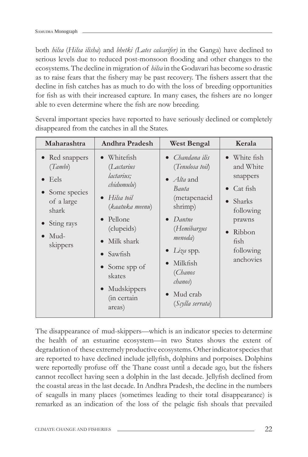both *hilsa* (*Hilsa ilisha*) and *bhetki (Lates calcarifer)* in the Ganga) have declined to serious levels due to reduced post-monsoon flooding and other changes to the ecosystems. The decline in migration of *hilsa* in the Godavari has become so drastic as to raise fears that the fishery may be past recovery. The fishers assert that the decline in fish catches has as much to do with the loss of breeding opportunities for fish as with their increased capture. In many cases, the fishers are no longer able to even determine where the fish are now breeding.

| Maharashtra                                                                                                  | Andhra Pradesh                                                                                                                                                                                                                              | <b>West Bengal</b>                                                                                                                                                                                                                                       | Kerala                                                                                                                         |
|--------------------------------------------------------------------------------------------------------------|---------------------------------------------------------------------------------------------------------------------------------------------------------------------------------------------------------------------------------------------|----------------------------------------------------------------------------------------------------------------------------------------------------------------------------------------------------------------------------------------------------------|--------------------------------------------------------------------------------------------------------------------------------|
| • Red snappers<br>(Tambi)<br>Eels<br>• Some species<br>of a large<br>shark<br>Sting rays<br>Mud-<br>skippers | Whitefish<br>(Lactarius<br>lactarius;<br>chidumulu)<br>$\bullet$ Hilsa toil<br>(kaatuka meenu)<br>Pellone<br>$\bullet$<br>(clupeids)<br>Milk shark<br>Sawfish<br>Some spp of<br>skates<br>Mudskippers<br>$\bullet$<br>(in certain<br>areas) | • Chandana ilis<br>(Tenulosa toil)<br>$\bullet$ <i>Alta</i> and<br>Bauta<br>(metapenaeid<br>shrimp)<br>Dantne<br>$\bullet$<br>(Hemibargus<br>menoda)<br>$Li\gamma a$ spp.<br>Milkfish<br>(Chanos<br>chanos)<br>Mud crab<br>$\bullet$<br>(Scylla serrata) | • White fish<br>and White<br>snappers<br>Cat fish<br>Sharks<br>following<br>prawns<br>Ribbon<br>fish<br>following<br>anchovies |

Several important species have reported to have seriously declined or completely disappeared from the catches in all the States.

The disappearance of mud-skippers—which is an indicator species to determine the health of an estuarine ecosystem—in two States shows the extent of degradation of these extremely productive ecosystems. Other indicator species that are reported to have declined include jellyfish, dolphins and porpoises. Dolphins were reportedly profuse off the Thane coast until a decade ago, but the fishers cannot recollect having seen a dolphin in the last decade. Jellyfish declined from the coastal areas in the last decade. In Andhra Pradesh, the decline in the numbers of seagulls in many places (sometimes leading to their total disappearance) is remarked as an indication of the loss of the pelagic fish shoals that prevailed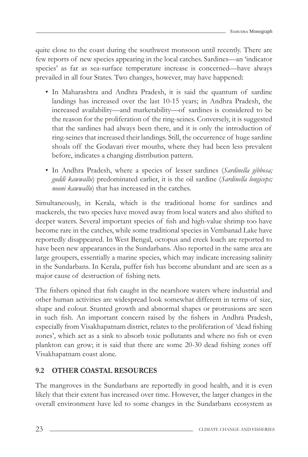quite close to the coast during the southwest monsoon until recently. There are few reports of new species appearing in the local catches. Sardines—an 'indicator species' as far as sea-surface temperature increase is concerned—have always prevailed in all four States. Two changes, however, may have happened:

- In Maharashtra and Andhra Pradesh, it is said the quantum of sardine landings has increased over the last 10-15 years; in Andhra Pradesh, the increased availability—and marketability—of sardines is considered to be the reason for the proliferation of the ring-seines. Conversely, it is suggested that the sardines had always been there, and it is only the introduction of ring-seines that increased their landings. Still, the occurrence of huge sardine shoals off the Godavari river mouths, where they had been less prevalent before, indicates a changing distribution pattern.
- In Andhra Pradesh, where a species of lesser sardines (*Sardinella gibbosa; guddi kawwallu*) predominated earlier, it is the oil sardine (*Sardinella longiceps; nooni kawwallu*) that has increased in the catches.

Simultaneously, in Kerala, which is the traditional home for sardines and mackerels, the two species have moved away from local waters and also shifted to deeper waters. Several important species of fish and high-value shrimp too have become rare in the catches, while some traditional species in Vembanad Lake have reportedly disappeared. In West Bengal, octopus and creek loach are reported to have been new appearances in the Sundarbans. Also reported in the same area are large groupers, essentially a marine species, which may indicate increasing salinity in the Sundarbans. In Kerala, puffer fish has become abundant and are seen as a major cause of destruction of fishing nets.

The fishers opined that fish caught in the nearshore waters where industrial and other human activities are widespread look somewhat different in terms of size, shape and colour. Stunted growth and abnormal shapes or protrusions are seen in such fish. An important concern raised by the fishers in Andhra Pradesh, especially from Visakhapatnam district, relates to the proliferation of 'dead fishing zones', which act as a sink to absorb toxic pollutants and where no fish or even plankton can grow; it is said that there are some 20-30 dead fishing zones off Visakhapatnam coast alone.

## **9.2 OTHER COASTAL RESOURCES**

The mangroves in the Sundarbans are reportedly in good health, and it is even likely that their extent has increased over time. However, the larger changes in the overall environment have led to some changes in the Sundarbans ecosystem as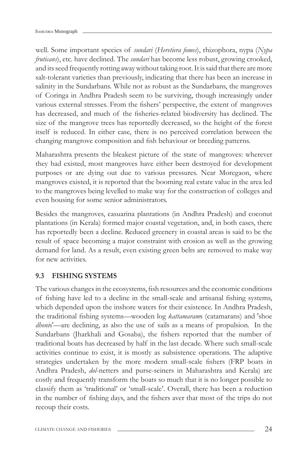well. Some important species of *sundari* (*Heretiera fomes*), rhizophora, nypa (*Nypa fruticans*), etc. have declined. The *sundari* has become less robust, growing crooked, and its seed frequently rotting away without taking root. It is said that there are more salt-tolerant varieties than previously, indicating that there has been an increase in salinity in the Sundarbans. While not as robust as the Sundarbans, the mangroves of Coringa in Andhra Pradesh seem to be surviving, though increasingly under various external stresses. From the fishers' perspective, the extent of mangroves has decreased, and much of the fisheries-related biodiversity has declined. The size of the mangrove trees has reportedly decreased, so the height of the forest itself is reduced. In either case, there is no perceived correlation between the changing mangrove composition and fish behaviour or breeding patterns.

Maharashtra presents the bleakest picture of the state of mangroves: wherever they had existed, most mangroves have either been destroyed for development purposes or are dying out due to various pressures. Near Moregaon, where mangroves existed, it is reported that the booming real estate value in the area led to the mangroves being levelled to make way for the construction of colleges and even housing for some senior administrators.

Besides the mangroves, casuarina plantations (in Andhra Pradesh) and coconut plantations (in Kerala) formed major coastal vegetation, and, in both cases, there has reportedly been a decline. Reduced greenery in coastal areas is said to be the result of space becoming a major constraint with erosion as well as the growing demand for land. As a result, even existing green belts are removed to make way for new activities.

#### **9.3 FISHING SYSTEMS**

The various changes in the ecosystems, fish resources and the economic conditions of fishing have led to a decline in the small-scale and artisanal fishing systems, which depended upon the inshore waters for their existence. In Andhra Pradesh, the traditional fishing systems—wooden log *kattamaram*s (catamarans) and 'shoe *dhoni*s'—are declining, as also the use of sails as a means of propulsion. In the Sundarbans (Jharkhali and Gosaba), the fishers reported that the number of traditional boats has decreased by half in the last decade. Where such small-scale activities continue to exist, it is mostly as subsistence operations. The adaptive strategies undertaken by the more modern small-scale fishers (FRP boats in Andhra Pradesh, *dol*-netters and purse-seiners in Maharashtra and Kerala) are costly and frequently transform the boats so much that it is no longer possible to classify them as 'traditional' or 'small-scale'. Overall, there has been a reduction in the number of fishing days, and the fishers aver that most of the trips do not recoup their costs.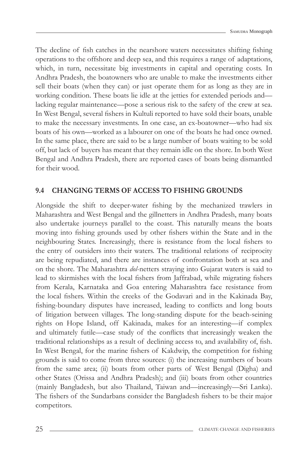The decline of fish catches in the nearshore waters necessitates shifting fishing operations to the offshore and deep sea, and this requires a range of adaptations, which, in turn, necessitate big investments in capital and operating costs. In Andhra Pradesh, the boatowners who are unable to make the investments either sell their boats (when they can) or just operate them for as long as they are in working condition. These boats lie idle at the jetties for extended periods and lacking regular maintenance—pose a serious risk to the safety of the crew at sea. In West Bengal, several fishers in Kultuli reported to have sold their boats, unable to make the necessary investments. In one case, an ex-boatowner—who had six boats of his own—worked as a labourer on one of the boats he had once owned. In the same place, there are said to be a large number of boats waiting to be sold off, but lack of buyers has meant that they remain idle on the shore. In both West Bengal and Andhra Pradesh, there are reported cases of boats being dismantled for their wood.

#### **9.4 CHANGING TERMS OF ACCESS TO FISHING GROUNDS**

Alongside the shift to deeper-water fishing by the mechanized trawlers in Maharashtra and West Bengal and the gillnetters in Andhra Pradesh, many boats also undertake journeys parallel to the coast. This naturally means the boats moving into fishing grounds used by other fishers within the State and in the neighbouring States. Increasingly, there is resistance from the local fishers to the entry of outsiders into their waters. The traditional relations of reciprocity are being repudiated, and there are instances of confrontation both at sea and on the shore. The Maharashtra *dol*-netters straying into Gujarat waters is said to lead to skirmishes with the local fishers from Jaffrabad, while migrating fishers from Kerala, Karnataka and Goa entering Maharashtra face resistance from the local fi shers. Within the creeks of the Godavari and in the Kakinada Bay, fishing-boundary disputes have increased, leading to conflicts and long bouts of litigation between villages. The long-standing dispute for the beach-seining rights on Hope Island, off Kakinada, makes for an interesting—if complex and ultimately futile—case study of the conflicts that increasingly weaken the traditional relationships as a result of declining access to, and availability of, fish. In West Bengal, for the marine fishers of Kakdwip, the competition for fishing grounds is said to come from three sources: (i) the increasing numbers of boats from the same area; (ii) boats from other parts of West Bengal (Digha) and other States (Orissa and Andhra Pradesh); and (iii) boats from other countries (mainly Bangladesh, but also Thailand, Taiwan and—increasingly—Sri Lanka). The fishers of the Sundarbans consider the Bangladesh fishers to be their major competitors.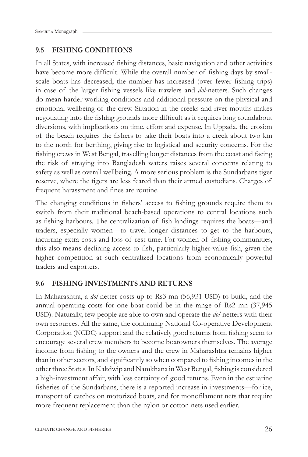### **9.5 FISHING CONDITIONS**

In all States, with increased fishing distances, basic navigation and other activities have become more difficult. While the overall number of fishing days by smallscale boats has decreased, the number has increased (over fewer fishing trips) in case of the larger fi shing vessels like trawlers and *dol*-netters. Such changes do mean harder working conditions and additional pressure on the physical and emotional wellbeing of the crew. Siltation in the creeks and river mouths makes negotiating into the fishing grounds more difficult as it requires long roundabout diversions, with implications on time, effort and expense. In Uppada, the erosion of the beach requires the fishers to take their boats into a creek about two km to the north for berthing, giving rise to logistical and security concerns. For the fishing crews in West Bengal, travelling longer distances from the coast and facing the risk of straying into Bangladesh waters raises several concerns relating to safety as well as overall wellbeing. A more serious problem is the Sundarbans tiger reserve, where the tigers are less feared than their armed custodians. Charges of frequent harassment and fines are routine.

The changing conditions in fishers' access to fishing grounds require them to switch from their traditional beach-based operations to central locations such as fishing harbours. The centralization of fish landings requires the boats—and traders, especially women—to travel longer distances to get to the harbours, incurring extra costs and loss of rest time. For women of fishing communities, this also means declining access to fish, particularly higher-value fish, given the higher competition at such centralized locations from economically powerful traders and exporters.

#### **9.6 FISHING INVESTMENTS AND RETURNS**

In Maharashtra, a *dol*-netter costs up to Rs3 mn (56,931 USD) to build, and the annual operating costs for one boat could be in the range of Rs2 mn (37,945 USD). Naturally, few people are able to own and operate the *dol*-netters with their own resources. All the same, the continuing National Co-operative Development Corporation (NCDC) support and the relatively good returns from fishing seem to encourage several crew members to become boatowners themselves. The average income from fishing to the owners and the crew in Maharashtra remains higher than in other sectors, and significantly so when compared to fishing incomes in the other three States. In Kakdwip and Namkhana in West Bengal, fishing is considered a high-investment affair, with less certainty of good returns. Even in the estuarine fisheries of the Sundarbans, there is a reported increase in investments—for ice, transport of catches on motorized boats, and for monofilament nets that require more frequent replacement than the nylon or cotton nets used earlier.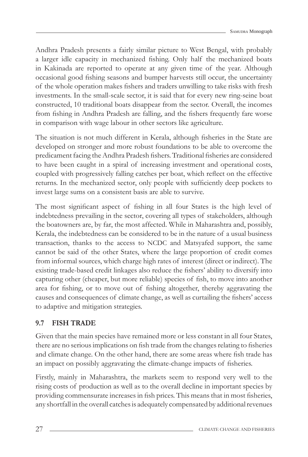Andhra Pradesh presents a fairly similar picture to West Bengal, with probably a larger idle capacity in mechanized fishing. Only half the mechanized boats in Kakinada are reported to operate at any given time of the year. Although occasional good fishing seasons and bumper harvests still occur, the uncertainty of the whole operation makes fishers and traders unwilling to take risks with fresh investments. In the small-scale sector, it is said that for every new ring-seine boat constructed, 10 traditional boats disappear from the sector. Overall, the incomes from fishing in Andhra Pradesh are falling, and the fishers frequently fare worse in comparison with wage labour in other sectors like agriculture.

The situation is not much different in Kerala, although fisheries in the State are developed on stronger and more robust foundations to be able to overcome the predicament facing the Andhra Pradesh fishers. Traditional fisheries are considered to have been caught in a spiral of increasing investment and operational costs, coupled with progressively falling catches per boat, which reflect on the effective returns. In the mechanized sector, only people with sufficiently deep pockets to invest large sums on a consistent basis are able to survive.

The most significant aspect of fishing in all four States is the high level of indebtedness prevailing in the sector, covering all types of stakeholders, although the boatowners are, by far, the most affected. While in Maharashtra and, possibly, Kerala, the indebtedness can be considered to be in the nature of a usual business transaction, thanks to the access to NCDC and Matsyafed support, the same cannot be said of the other States, where the large proportion of credit comes from informal sources, which charge high rates of interest (direct or indirect). The existing trade-based credit linkages also reduce the fishers' ability to diversify into capturing other (cheaper, but more reliable) species of fish, to move into another area for fishing, or to move out of fishing altogether, thereby aggravating the causes and consequences of climate change, as well as curtailing the fishers' access to adaptive and mitigation strategies.

## **9.7 FISH TRADE**

Given that the main species have remained more or less constant in all four States, there are no serious implications on fish trade from the changes relating to fisheries and climate change. On the other hand, there are some areas where fish trade has an impact on possibly aggravating the climate-change impacts of fisheries.

Firstly, mainly in Maharashtra, the markets seem to respond very well to the rising costs of production as well as to the overall decline in important species by providing commensurate increases in fish prices. This means that in most fisheries, any shortfall in the overall catches is adequately compensated by additional revenues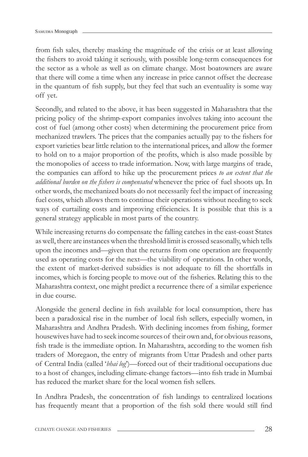from fish sales, thereby masking the magnitude of the crisis or at least allowing the fishers to avoid taking it seriously, with possible long-term consequences for the sector as a whole as well as on climate change. Most boatowners are aware that there will come a time when any increase in price cannot offset the decrease in the quantum of fish supply, but they feel that such an eventuality is some way off yet.

Secondly, and related to the above, it has been suggested in Maharashtra that the pricing policy of the shrimp-export companies involves taking into account the cost of fuel (among other costs) when determining the procurement price from mechanized trawlers. The prices that the companies actually pay to the fishers for export varieties bear little relation to the international prices, and allow the former to hold on to a major proportion of the profits, which is also made possible by the monopolies of access to trade information. Now, with large margins of trade, the companies can afford to hike up the procurement prices *to an extent that the additional burden on the fi shers is compensated* whenever the price of fuel shoots up. In other words, the mechanized boats do not necessarily feel the impact of increasing fuel costs, which allows them to continue their operations without needing to seek ways of curtailing costs and improving efficiencies. It is possible that this is a general strategy applicable in most parts of the country.

While increasing returns do compensate the falling catches in the east-coast States as well, there are instances when the threshold limit is crossed seasonally, which tells upon the incomes and—given that the returns from one operation are frequently used as operating costs for the next—the viability of operations. In other words, the extent of market-derived subsidies is not adequate to fill the shortfalls in incomes, which is forcing people to move out of the fisheries. Relating this to the Maharashtra context, one might predict a recurrence there of a similar experience in due course.

Alongside the general decline in fish available for local consumption, there has been a paradoxical rise in the number of local fish sellers, especially women, in Maharashtra and Andhra Pradesh. With declining incomes from fishing, former housewives have had to seek income sources of their own and, for obvious reasons, fish trade is the immediate option. In Maharashtra, according to the women fish traders of Moregaon, the entry of migrants from Uttar Pradesh and other parts of Central India (called '*bhai log*')—forced out of their traditional occupations due to a host of changes, including climate-change factors—into fish trade in Mumbai has reduced the market share for the local women fish sellers.

In Andhra Pradesh, the concentration of fish landings to centralized locations has frequently meant that a proportion of the fish sold there would still find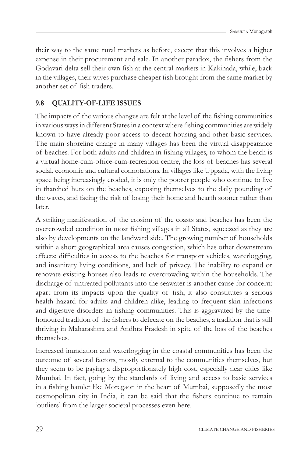their way to the same rural markets as before, except that this involves a higher expense in their procurement and sale. In another paradox, the fishers from the Godavari delta sell their own fish at the central markets in Kakinada, while, back in the villages, their wives purchase cheaper fish brought from the same market by another set of fish traders.

## **9.8 QUALITY-OF-LIFE ISSUES**

The impacts of the various changes are felt at the level of the fishing communities in various ways in different States in a context where fishing communities are widely known to have already poor access to decent housing and other basic services. The main shoreline change in many villages has been the virtual disappearance of beaches. For both adults and children in fishing villages, to whom the beach is a virtual home-cum-office-cum-recreation centre, the loss of beaches has several social, economic and cultural connotations. In villages like Uppada, with the living space being increasingly eroded, it is only the poorer people who continue to live in thatched huts on the beaches, exposing themselves to the daily pounding of the waves, and facing the risk of losing their home and hearth sooner rather than later.

A striking manifestation of the erosion of the coasts and beaches has been the overcrowded condition in most fishing villages in all States, squeezed as they are also by developments on the landward side. The growing number of households within a short geographical area causes congestion, which has other downstream effects: difficulties in access to the beaches for transport vehicles, waterlogging, and insanitary living conditions, and lack of privacy. The inability to expand or renovate existing houses also leads to overcrowding within the households. The discharge of untreated pollutants into the seawater is another cause for concern: apart from its impacts upon the quality of fish, it also constitutes a serious health hazard for adults and children alike, leading to frequent skin infections and digestive disorders in fishing communities. This is aggravated by the timehonoured tradition of the fishers to defecate on the beaches, a tradition that is still thriving in Maharashtra and Andhra Pradesh in spite of the loss of the beaches themselves.

Increased inundation and waterlogging in the coastal communities has been the outcome of several factors, mostly external to the communities themselves, but they seem to be paying a disproportionately high cost, especially near cities like Mumbai. In fact, going by the standards of living and access to basic services in a fi shing hamlet like Moregaon in the heart of Mumbai, supposedly the most cosmopolitan city in India, it can be said that the fishers continue to remain 'outliers' from the larger societal processes even here.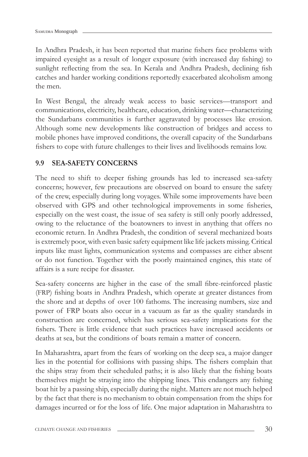In Andhra Pradesh, it has been reported that marine fishers face problems with impaired eyesight as a result of longer exposure (with increased day fishing) to sunlight reflecting from the sea. In Kerala and Andhra Pradesh, declining fish catches and harder working conditions reportedly exacerbated alcoholism among the men.

In West Bengal, the already weak access to basic services—transport and communications, electricity, healthcare, education, drinking water—characterizing the Sundarbans communities is further aggravated by processes like erosion. Although some new developments like construction of bridges and access to mobile phones have improved conditions, the overall capacity of the Sundarbans fishers to cope with future challenges to their lives and livelihoods remains low.

### **9.9 SEA-SAFETY CONCERNS**

The need to shift to deeper fishing grounds has led to increased sea-safety concerns; however, few precautions are observed on board to ensure the safety of the crew, especially during long voyages. While some improvements have been observed with GPS and other technological improvements in some fisheries, especially on the west coast, the issue of sea safety is still only poorly addressed, owing to the reluctance of the boatowners to invest in anything that offers no economic return. In Andhra Pradesh, the condition of several mechanized boats is extremely poor, with even basic safety equipment like life jackets missing. Critical inputs like mast lights, communication systems and compasses are either absent or do not function. Together with the poorly maintained engines, this state of affairs is a sure recipe for disaster.

Sea-safety concerns are higher in the case of the small fibre-reinforced plastic (FRP) fishing boats in Andhra Pradesh, which operate at greater distances from the shore and at depths of over 100 fathoms. The increasing numbers, size and power of FRP boats also occur in a vacuum as far as the quality standards in construction are concerned, which has serious sea-safety implications for the fishers. There is little evidence that such practices have increased accidents or deaths at sea, but the conditions of boats remain a matter of concern.

In Maharashtra, apart from the fears of working on the deep sea, a major danger lies in the potential for collisions with passing ships. The fishers complain that the ships stray from their scheduled paths; it is also likely that the fishing boats themselves might be straying into the shipping lines. This endangers any fishing boat hit by a passing ship, especially during the night. Matters are not much helped by the fact that there is no mechanism to obtain compensation from the ships for damages incurred or for the loss of life. One major adaptation in Maharashtra to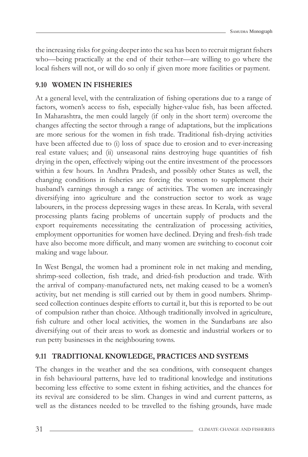the increasing risks for going deeper into the sea has been to recruit migrant fishers who—being practically at the end of their tether—are willing to go where the local fishers will not, or will do so only if given more more facilities or payment.

## **9.10 WOMEN IN FISHERIES**

At a general level, with the centralization of fishing operations due to a range of factors, women's access to fish, especially higher-value fish, has been affected. In Maharashtra, the men could largely (if only in the short term) overcome the changes affecting the sector through a range of adaptations, but the implications are more serious for the women in fish trade. Traditional fish-drying activities have been affected due to (i) loss of space due to erosion and to ever-increasing real estate values; and (ii) unseasonal rains destroying huge quantities of fish drying in the open, effectively wiping out the entire investment of the processors within a few hours. In Andhra Pradesh, and possibly other States as well, the changing conditions in fisheries are forcing the women to supplement their husband's earnings through a range of activities. The women are increasingly diversifying into agriculture and the construction sector to work as wage labourers, in the process depressing wages in these areas. In Kerala, with several processing plants facing problems of uncertain supply of products and the export requirements necessitating the centralization of processing activities, employment opportunities for women have declined. Drying and fresh-fish trade have also become more difficult, and many women are switching to coconut coir making and wage labour.

In West Bengal, the women had a prominent role in net making and mending, shrimp-seed collection, fish trade, and dried-fish production and trade. With the arrival of company-manufactured nets, net making ceased to be a women's activity, but net mending is still carried out by them in good numbers. Shrimpseed collection continues despite efforts to curtail it, but this is reported to be out of compulsion rather than choice. Although traditionally involved in agriculture, fish culture and other local activities, the women in the Sundarbans are also diversifying out of their areas to work as domestic and industrial workers or to run petty businesses in the neighbouring towns.

### **9.11 TRADITIONAL KNOWLEDGE, PRACTICES AND SYSTEMS**

The changes in the weather and the sea conditions, with consequent changes in fish behavioural patterns, have led to traditional knowledge and institutions becoming less effective to some extent in fishing activities, and the chances for its revival are considered to be slim. Changes in wind and current patterns, as well as the distances needed to be travelled to the fishing grounds, have made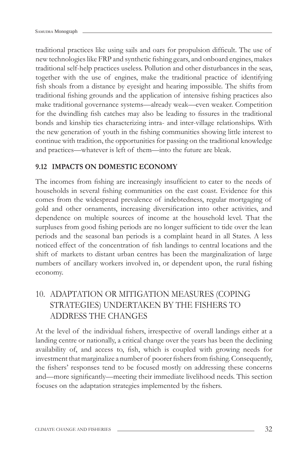traditional practices like using sails and oars for propulsion difficult. The use of new technologies like FRP and synthetic fishing gears, and onboard engines, makes traditional self-help practices useless. Pollution and other disturbances in the seas, together with the use of engines, make the traditional practice of identifying fish shoals from a distance by eyesight and hearing impossible. The shifts from traditional fishing grounds and the application of intensive fishing practices also make traditional governance systems—already weak—even weaker. Competition for the dwindling fish catches may also be leading to fissures in the traditional bonds and kinship ties characterizing intra- and inter-village relationships. With the new generation of youth in the fishing communities showing little interest to continue with tradition, the opportunities for passing on the traditional knowledge and practices—whatever is left of them—into the future are bleak.

#### **9.12 IMPACTS ON DOMESTIC ECONOMY**

The incomes from fishing are increasingly insufficient to cater to the needs of households in several fishing communities on the east coast. Evidence for this comes from the widespread prevalence of indebtedness, regular mortgaging of gold and other ornaments, increasing diversification into other activities, and dependence on multiple sources of income at the household level. That the surpluses from good fishing periods are no longer sufficient to tide over the lean periods and the seasonal ban periods is a complaint heard in all States. A less noticed effect of the concentration of fish landings to central locations and the shift of markets to distant urban centres has been the marginalization of large numbers of ancillary workers involved in, or dependent upon, the rural fishing economy.

## 10. ADAPTATION OR MITIGATION MEASURES (COPING STRATEGIES) UNDERTAKEN BY THE FISHERS TO ADDRESS THE CHANGES

At the level of the individual fishers, irrespective of overall landings either at a landing centre or nationally, a critical change over the years has been the declining availability of, and access to, fish, which is coupled with growing needs for investment that marginalize a number of poorer fishers from fishing. Consequently, the fishers' responses tend to be focused mostly on addressing these concerns and—more significantly—meeting their immediate livelihood needs. This section focuses on the adaptation strategies implemented by the fishers.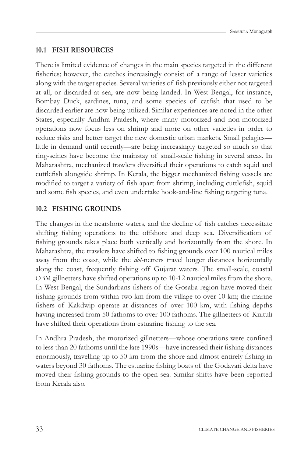#### **10.1 FISH RESOURCES**

There is limited evidence of changes in the main species targeted in the different fisheries; however, the catches increasingly consist of a range of lesser varieties along with the target species. Several varieties of fish previously either not targeted at all, or discarded at sea, are now being landed. In West Bengal, for instance, Bombay Duck, sardines, tuna, and some species of catfish that used to be discarded earlier are now being utilized. Similar experiences are noted in the other States, especially Andhra Pradesh, where many motorized and non-motorized operations now focus less on shrimp and more on other varieties in order to reduce risks and better target the new domestic urban markets. Small pelagics little in demand until recently—are being increasingly targeted so much so that ring-seines have become the mainstay of small-scale fishing in several areas. In Maharashtra, mechanized trawlers diversified their operations to catch squid and cuttlefish alongside shrimp. In Kerala, the bigger mechanized fishing vessels are modified to target a variety of fish apart from shrimp, including cuttlefish, squid and some fish species, and even undertake hook-and-line fishing targeting tuna.

#### **10.2 FISHING GROUNDS**

The changes in the nearshore waters, and the decline of fish catches necessitate shifting fishing operations to the offshore and deep sea. Diversification of fishing grounds takes place both vertically and horizontally from the shore. In Maharashtra, the trawlers have shifted to fishing grounds over 100 nautical miles away from the coast, while the *dol*-netters travel longer distances horizontally along the coast, frequently fishing off Gujarat waters. The small-scale, coastal OBM gillnetters have shifted operations up to 10-12 nautical miles from the shore. In West Bengal, the Sundarbans fishers of the Gosaba region have moved their fishing grounds from within two km from the village to over 10 km; the marine fishers of Kakdwip operate at distances of over 100 km, with fishing depths having increased from 50 fathoms to over 100 fathoms. The gillnetters of Kultuli have shifted their operations from estuarine fishing to the sea.

In Andhra Pradesh, the motorized gillnetters—whose operations were confined to less than 20 fathoms until the late 1990s—have increased their fishing distances enormously, travelling up to 50 km from the shore and almost entirely fishing in waters beyond 30 fathoms. The estuarine fishing boats of the Godavari delta have moved their fishing grounds to the open sea. Similar shifts have been reported from Kerala also.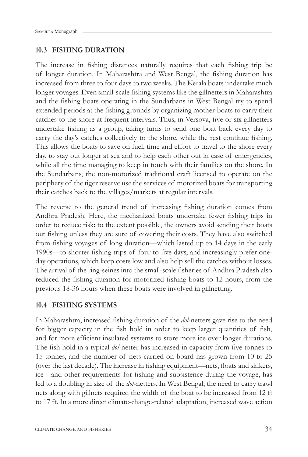#### **10.3 FISHING DURATION**

The increase in fishing distances naturally requires that each fishing trip be of longer duration. In Maharashtra and West Bengal, the fishing duration has increased from three to four days to two weeks. The Kerala boats undertake much longer voyages. Even small-scale fishing systems like the gillnetters in Maharashtra and the fishing boats operating in the Sundarbans in West Bengal try to spend extended periods at the fishing grounds by organizing mother-boats to carry their catches to the shore at frequent intervals. Thus, in Versova, five or six gillnetters undertake fishing as a group, taking turns to send one boat back every day to carry the day's catches collectively to the shore, while the rest continue fishing. This allows the boats to save on fuel, time and effort to travel to the shore every day, to stay out longer at sea and to help each other out in case of emergencies, while all the time managing to keep in touch with their families on the shore. In the Sundarbans, the non-motorized traditional craft licensed to operate on the periphery of the tiger reserve use the services of motorized boats for transporting their catches back to the villages/markets at regular intervals.

The reverse to the general trend of increasing fishing duration comes from Andhra Pradesh. Here, the mechanized boats undertake fewer fishing trips in order to reduce risk: to the extent possible, the owners avoid sending their boats out fishing unless they are sure of covering their costs. They have also switched from fishing voyages of long duration—which lasted up to 14 days in the early 1990s—to shorter fishing trips of four to five days, and increasingly prefer oneday operations, which keep costs low and also help sell the catches without losses. The arrival of the ring-seines into the small-scale fisheries of Andhra Pradesh also reduced the fishing duration for motorized fishing boats to 12 hours, from the previous 18-36 hours when these boats were involved in gillnetting.

#### **10.4 FISHING SYSTEMS**

In Maharashtra, increased fishing duration of the *dol*-netters gave rise to the need for bigger capacity in the fish hold in order to keep larger quantities of fish, and for more efficient insulated systems to store more ice over longer durations. The fish hold in a typical *dol*-netter has increased in capacity from five tonnes to 15 tonnes, and the number of nets carried on board has grown from 10 to 25 (over the last decade). The increase in fishing equipment—nets, floats and sinkers, ice—and other requirements for fishing and subsistence during the voyage, has led to a doubling in size of the *dol*-netters. In West Bengal, the need to carry trawl nets along with gillnets required the width of the boat to be increased from 12 ft to 17 ft. In a more direct climate-change-related adaptation, increased wave action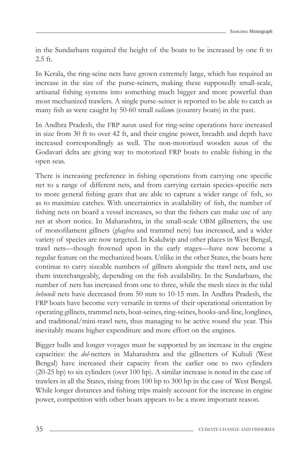in the Sundarbans required the height of the boats to be increased by one ft to 2.5 ft.

In Kerala, the ring-seine nets have grown extremely large, which has required an increase in the size of the purse-seiners, making these supposedly small-scale, artisanal fishing systems into something much bigger and more powerful than most mechanized trawlers. A single purse-seiner is reported to be able to catch as many fish as were caught by 50-60 small *vallams* (country boats) in the past.

In Andhra Pradesh, the FRP *nava*s used for ring-seine operations have increased in size from 30 ft to over 42 ft, and their engine power, breadth and depth have increased correspondingly as well. The non-motorized wooden *nava*s of the Godavari delta are giving way to motorized FRP boats to enable fishing in the open seas.

There is increasing preference in fishing operations from carrying one specific net to a range of different nets, and from carrying certain species-specific nets to more general fishing gears that are able to capture a wider range of fish, so as to maximize catches. With uncertainties in availability of fish, the number of fishing nets on board a vessel increases, so that the fishers can make use of any net at short notice. In Maharashtra, in the small-scale OBM gillnetters, the use of monofilament gillnets (*ghaghra* and trammel nets) has increased, and a wider variety of species are now targeted. In Kakdwip and other places in West Bengal, trawl nets—though frowned upon in the early stages—have now become a regular feature on the mechanized boats. Unlike in the other States, the boats here continue to carry sizeable numbers of gillnets alongside the trawl nets, and use them interchangeably, depending on the fish availability. In the Sundarbans, the number of nets has increased from one to three, while the mesh sizes in the tidal *behundi* nets have decreased from 50 mm to 10-15 mm. In Andhra Pradesh, the FRP boats have become very versatile in terms of their operational orientation by operating gillnets, trammel nets, boat-seines, ring-seines, hooks-and-line, longlines, and traditional/mini-trawl nets, thus managing to be active round the year. This inevitably means higher expenditure and more effort on the engines.

Bigger hulls and longer voyages must be supported by an increase in the engine capacities: the *dol*-netters in Maharashtra and the gillnetters of Kultuli (West Bengal) have increased their capacity from the earlier one to two cylinders (20-25 hp) to six cylinders (over 100 hp). A similar increase is noted in the case of trawlers in all the States, rising from 100 hp to 300 hp in the case of West Bengal. While longer distances and fishing trips mainly account for the increase in engine power, competition with other boats appears to be a more important reason.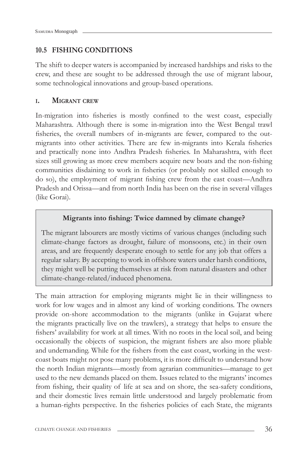#### **10.5 FISHING CONDITIONS**

The shift to deeper waters is accompanied by increased hardships and risks to the crew, and these are sought to be addressed through the use of migrant labour, some technological innovations and group-based operations.

#### **I. MIGRANT CREW**

In-migration into fisheries is mostly confined to the west coast, especially Maharashtra. Although there is some in-migration into the West Bengal trawl fisheries, the overall numbers of in-migrants are fewer, compared to the outmigrants into other activities. There are few in-migrants into Kerala fisheries and practically none into Andhra Pradesh fisheries. In Maharashtra, with fleet sizes still growing as more crew members acquire new boats and the non-fishing communities disdaining to work in fisheries (or probably not skilled enough to do so), the employment of migrant fishing crew from the east coast—Andhra Pradesh and Orissa—and from north India has been on the rise in several villages (like Gorai).

#### Migrants into fishing: Twice damned by climate change?

The migrant labourers are mostly victims of various changes (including such climate-change factors as drought, failure of monsoons, etc.) in their own areas, and are frequently desperate enough to settle for any job that offers a regular salary. By accepting to work in offshore waters under harsh conditions, they might well be putting themselves at risk from natural disasters and other climate-change-related/induced phenomena.

The main attraction for employing migrants might lie in their willingness to work for low wages and in almost any kind of working conditions. The owners provide on-shore accommodation to the migrants (unlike in Gujarat where the migrants practically live on the trawlers), a strategy that helps to ensure the fishers' availability for work at all times. With no roots in the local soil, and being occasionally the objects of suspicion, the migrant fishers are also more pliable and undemanding. While for the fishers from the east coast, working in the westcoast boats might not pose many problems, it is more difficult to understand how the north Indian migrants—mostly from agrarian communities—manage to get used to the new demands placed on them. Issues related to the migrants' incomes from fishing, their quality of life at sea and on shore, the sea-safety conditions, and their domestic lives remain little understood and largely problematic from a human-rights perspective. In the fisheries policies of each State, the migrants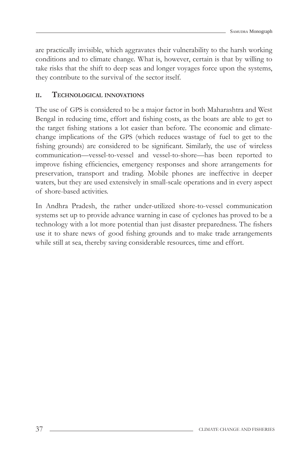are practically invisible, which aggravates their vulnerability to the harsh working conditions and to climate change. What is, however, certain is that by willing to take risks that the shift to deep seas and longer voyages force upon the systems, they contribute to the survival of the sector itself.

#### **II. TECHNOLOGICAL INNOVATIONS**

The use of GPS is considered to be a major factor in both Maharashtra and West Bengal in reducing time, effort and fishing costs, as the boats are able to get to the target fishing stations a lot easier than before. The economic and climatechange implications of the GPS (which reduces wastage of fuel to get to the fishing grounds) are considered to be significant. Similarly, the use of wireless communication—vessel-to-vessel and vessel-to-shore—has been reported to improve fishing efficiencies, emergency responses and shore arrangements for preservation, transport and trading. Mobile phones are ineffective in deeper waters, but they are used extensively in small-scale operations and in every aspect of shore-based activities.

In Andhra Pradesh, the rather under-utilized shore-to-vessel communication systems set up to provide advance warning in case of cyclones has proved to be a technology with a lot more potential than just disaster preparedness. The fishers use it to share news of good fishing grounds and to make trade arrangements while still at sea, thereby saving considerable resources, time and effort.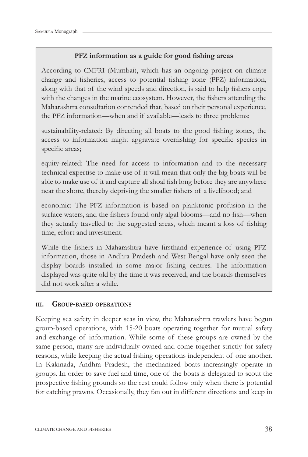#### **PFZ** information as a guide for good fishing areas

According to CMFRI (Mumbai), which has an ongoing project on climate change and fisheries, access to potential fishing zone (PFZ) information, along with that of the wind speeds and direction, is said to help fishers cope with the changes in the marine ecosystem. However, the fishers attending the Maharashtra consultation contended that, based on their personal experience, the PFZ information—when and if available—leads to three problems:

sustainability-related: By directing all boats to the good fishing zones, the access to information might aggravate overfishing for specific species in specific areas;

equity-related: The need for access to information and to the necessary technical expertise to make use of it will mean that only the big boats will be able to make use of it and capture all shoal fish long before they are anywhere near the shore, thereby depriving the smaller fishers of a livelihood; and

economic: The PFZ information is based on planktonic profusion in the surface waters, and the fishers found only algal blooms—and no fish—when they actually travelled to the suggested areas, which meant a loss of fishing time, effort and investment.

While the fishers in Maharashtra have firsthand experience of using PFZ information, those in Andhra Pradesh and West Bengal have only seen the display boards installed in some major fishing centres. The information displayed was quite old by the time it was received, and the boards themselves did not work after a while.

#### **III. GROUP-BASED OPERATIONS**

Keeping sea safety in deeper seas in view, the Maharashtra trawlers have begun group-based operations, with 15-20 boats operating together for mutual safety and exchange of information. While some of these groups are owned by the same person, many are individually owned and come together strictly for safety reasons, while keeping the actual fishing operations independent of one another. In Kakinada, Andhra Pradesh, the mechanized boats increasingly operate in groups. In order to save fuel and time, one of the boats is delegated to scout the prospective fishing grounds so the rest could follow only when there is potential for catching prawns. Occasionally, they fan out in different directions and keep in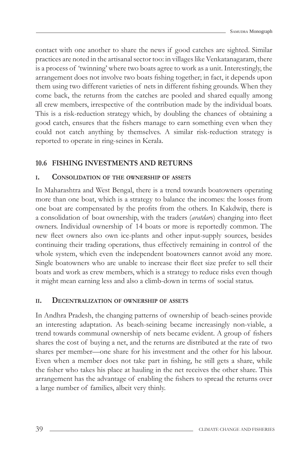contact with one another to share the news if good catches are sighted. Similar practices are noted in the artisanal sector too: in villages like Venkatanagaram, there is a process of 'twinning' where two boats agree to work as a unit. Interestingly, the arrangement does not involve two boats fishing together; in fact, it depends upon them using two different varieties of nets in different fishing grounds. When they come back, the returns from the catches are pooled and shared equally among all crew members, irrespective of the contribution made by the individual boats. This is a risk-reduction strategy which, by doubling the chances of obtaining a good catch, ensures that the fishers manage to earn something even when they could not catch anything by themselves. A similar risk-reduction strategy is reported to operate in ring-seines in Kerala.

## **10.6 FISHING INVESTMENTS AND RETURNS**

#### **I. CONSOLIDATION OF THE OWNERSHIP OF ASSETS**

In Maharashtra and West Bengal, there is a trend towards boatowners operating more than one boat, which is a strategy to balance the incomes: the losses from one boat are compensated by the profits from the others. In Kakdwip, there is a consolidation of boat ownership, with the traders *(aratdars)* changing into fleet owners. Individual ownership of 14 boats or more is reportedly common. The new fleet owners also own ice-plants and other input-supply sources, besides continuing their trading operations, thus effectively remaining in control of the whole system, which even the independent boatowners cannot avoid any more. Single boatowners who are unable to increase their fleet size prefer to sell their boats and work as crew members, which is a strategy to reduce risks even though it might mean earning less and also a climb-down in terms of social status.

#### **II. DECENTRALIZATION OF OWNERSHIP OF ASSETS**

In Andhra Pradesh, the changing patterns of ownership of beach-seines provide an interesting adaptation. As beach-seining became increasingly non-viable, a trend towards communal ownership of nets became evident. A group of fishers shares the cost of buying a net, and the returns are distributed at the rate of two shares per member—one share for his investment and the other for his labour. Even when a member does not take part in fishing, he still gets a share, while the fisher who takes his place at hauling in the net receives the other share. This arrangement has the advantage of enabling the fishers to spread the returns over a large number of families, albeit very thinly.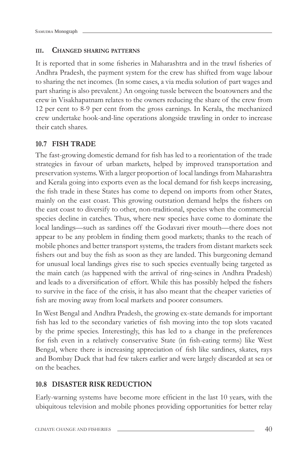#### **III. CHANGED SHARING PATTERNS**

It is reported that in some fisheries in Maharashtra and in the trawl fisheries of Andhra Pradesh, the payment system for the crew has shifted from wage labour to sharing the net incomes. (In some cases, a via media solution of part wages and part sharing is also prevalent.) An ongoing tussle between the boatowners and the crew in Visakhapatnam relates to the owners reducing the share of the crew from 12 per cent to 8-9 per cent from the gross earnings. In Kerala, the mechanized crew undertake hook-and-line operations alongside trawling in order to increase their catch shares.

#### **10.7 FISH TRADE**

The fast-growing domestic demand for fish has led to a reorientation of the trade strategies in favour of urban markets, helped by improved transportation and preservation systems. With a larger proportion of local landings from Maharashtra and Kerala going into exports even as the local demand for fish keeps increasing, the fish trade in these States has come to depend on imports from other States, mainly on the east coast. This growing outstation demand helps the fishers on the east coast to diversify to other, non-traditional, species when the commercial species decline in catches. Thus, where new species have come to dominate the local landings—such as sardines off the Godavari river mouth—there does not appear to be any problem in finding them good markets; thanks to the reach of mobile phones and better transport systems, the traders from distant markets seek fishers out and buy the fish as soon as they are landed. This burgeoning demand for unusual local landings gives rise to such species eventually being targeted as the main catch (as happened with the arrival of ring-seines in Andhra Pradesh) and leads to a diversification of effort. While this has possibly helped the fishers to survive in the face of the crisis, it has also meant that the cheaper varieties of fish are moving away from local markets and poorer consumers.

In West Bengal and Andhra Pradesh, the growing ex-state demands for important fish has led to the secondary varieties of fish moving into the top slots vacated by the prime species. Interestingly, this has led to a change in the preferences for fish even in a relatively conservative State (in fish-eating terms) like West Bengal, where there is increasing appreciation of fish like sardines, skates, rays and Bombay Duck that had few takers earlier and were largely discarded at sea or on the beaches.

#### **10.8 DISASTER RISK REDUCTION**

Early-warning systems have become more efficient in the last 10 years, with the ubiquitous television and mobile phones providing opportunities for better relay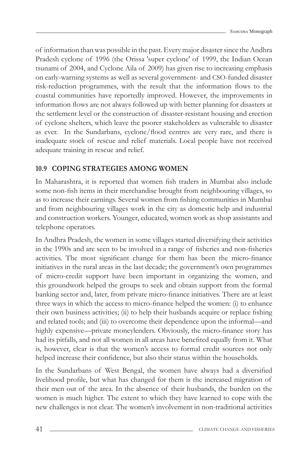of information than was possible in the past. Every major disaster since the Andhra Pradesh cyclone of 1996 (the Orissa 'super cyclone' of 1999, the Indian Ocean tsunami of 2004, and Cyclone Aila of 2009) has given rise to increasing emphasis on early-warning systems as well as several government- and CSO-funded disaster risk-reduction programmes, with the result that the information flows to the coastal communities have reportedly improved. However, the improvements in information flows are not always followed up with better planning for disasters at the settlement level or the construction of disaster-resistant housing and erection of cyclone shelters, which leave the poorer stakeholders as vulnerable to disaster as ever. In the Sundarbans, cyclone/flood centres are very rare, and there is inadequate stock of rescue and relief materials. Local people have not received adequate training in rescue and relief.

### **10.9 COPING STRATEGIES AMONG WOMEN**

In Maharashtra, it is reported that women fish traders in Mumbai also include some non-fish items in their merchandise brought from neighbouring villages, so as to increase their earnings. Several women from fishing communities in Mumbai and from neighbouring villages work in the city as domestic help and industrial and construction workers. Younger, educated, women work as shop assistants and telephone operators.

In Andhra Pradesh, the women in some villages started diversifying their activities in the 1990s and are seen to be involved in a range of fisheries and non-fisheries activities. The most significant change for them has been the micro-finance initiatives in the rural areas in the last decade; the government's own programmes of micro-credit support have been important in organizing the women, and this groundwork helped the groups to seek and obtain support from the formal banking sector and, later, from private micro-finance initiatives. There are at least three ways in which the access to micro-finance helped the women: (i) to enhance their own business activities; (ii) to help their husbands acquire or replace fishing and related tools; and (iii) to overcome their dependence upon the informal—and highly expensive—private moneylenders. Obviously, the micro-finance story has had its pitfalls, and not all women in all areas have benefited equally from it. What is, however, clear is that the women's access to formal credit sources not only helped increase their confidence, but also their status within the households.

In the Sundarbans of West Bengal, the women have always had a diversified livelihood profile, but what has changed for them is the increased migration of their men out of the area. In the absence of their husbands, the burden on the women is much higher. The extent to which they have learned to cope with the new challenges is not clear. The women's involvement in non-traditional activities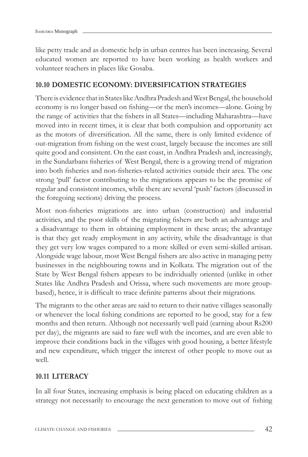like petty trade and as domestic help in urban centres has been increasing. Several educated women are reported to have been working as health workers and volunteer teachers in places like Gosaba.

#### **10.10 DOMESTIC ECONOMY: DIVERSIFICATION STRATEGIES**

There is evidence that in States like Andhra Pradesh and West Bengal, the household economy is no longer based on fishing—or the men's incomes—alone. Going by the range of activities that the fishers in all States—including Maharashtra—have moved into in recent times, it is clear that both compulsion and opportunity act as the motors of diversification. All the same, there is only limited evidence of out-migration from fishing on the west coast, largely because the incomes are still quite good and consistent. On the east coast, in Andhra Pradesh and, increasingly, in the Sundarbans fisheries of West Bengal, there is a growing trend of migration into both fisheries and non-fisheries-related activities outside their area. The one strong 'pull' factor contributing to the migrations appears to be the promise of regular and consistent incomes, while there are several 'push' factors (discussed in the foregoing sections) driving the process.

Most non-fisheries migrations are into urban (construction) and industrial activities, and the poor skills of the migrating fishers are both an advantage and a disadvantage to them in obtaining employment in these areas; the advantage is that they get ready employment in any activity, while the disadvantage is that they get very low wages compared to a more skilled or even semi-skilled artisan. Alongside wage labour, most West Bengal fishers are also active in managing petty businesses in the neighbouring towns and in Kolkata. The migration out of the State by West Bengal fishers appears to be individually oriented (unlike in other States like Andhra Pradesh and Orissa, where such movements are more groupbased), hence, it is difficult to trace definite patterns about their migrations.

The migrants to the other areas are said to return to their native villages seasonally or whenever the local fishing conditions are reported to be good, stay for a few months and then return. Although not necessarily well paid (earning about Rs200 per day), the migrants are said to fare well with the incomes, and are even able to improve their conditions back in the villages with good housing, a better lifestyle and new expenditure, which trigger the interest of other people to move out as well.

#### **10.11 LITERACY**

In all four States, increasing emphasis is being placed on educating children as a strategy not necessarily to encourage the next generation to move out of fishing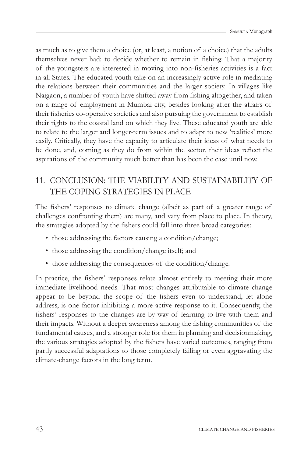as much as to give them a choice (or, at least, a notion of a choice) that the adults themselves never had: to decide whether to remain in fishing. That a majority of the youngsters are interested in moving into non-fisheries activities is a fact in all States. The educated youth take on an increasingly active role in mediating the relations between their communities and the larger society. In villages like Naigaon, a number of youth have shifted away from fishing altogether, and taken on a range of employment in Mumbai city, besides looking after the affairs of their fisheries co-operative societies and also pursuing the government to establish their rights to the coastal land on which they live. These educated youth are able to relate to the larger and longer-term issues and to adapt to new 'realities' more easily. Critically, they have the capacity to articulate their ideas of what needs to be done, and, coming as they do from within the sector, their ideas reflect the aspirations of the community much better than has been the case until now.

## 11. CONCLUSION: THE VIABILITY AND SUSTAINABILITY OF THE COPING STRATEGIES IN PLACE

The fishers' responses to climate change (albeit as part of a greater range of challenges confronting them) are many, and vary from place to place. In theory, the strategies adopted by the fishers could fall into three broad categories:

- those addressing the factors causing a condition/change;
- those addressing the condition/change itself; and
- those addressing the consequences of the condition/change.

In practice, the fishers' responses relate almost entirely to meeting their more immediate livelihood needs. That most changes attributable to climate change appear to be beyond the scope of the fishers even to understand, let alone address, is one factor inhibiting a more active response to it. Consequently, the fishers' responses to the changes are by way of learning to live with them and their impacts. Without a deeper awareness among the fishing communities of the fundamental causes, and a stronger role for them in planning and decisionmaking, the various strategies adopted by the fishers have varied outcomes, ranging from partly successful adaptations to those completely failing or even aggravating the climate-change factors in the long term.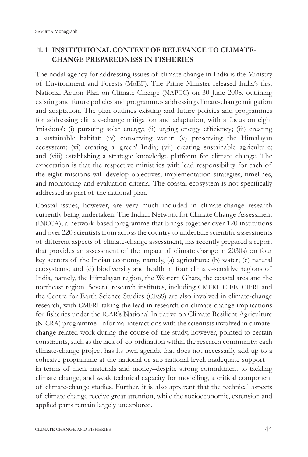## **11. 1 INSTITUTIONAL CONTEXT OF RELEVANCE TO CLIMATE-CHANGE PREPAREDNESS IN FISHERIES**

The nodal agency for addressing issues of climate change in India is the Ministry of Environment and Forests (MoEF). The Prime Minister released India's first National Action Plan on Climate Change (NAPCC) on 30 June 2008, outlining existing and future policies and programmes addressing climate-change mitigation and adaptation. The plan outlines existing and future policies and programmes for addressing climate-change mitigation and adaptation, with a focus on eight 'missions': (i) pursuing solar energy; (ii) urging energy efficiency; (iii) creating a sustainable habitat; (iv) conserving water; (v) preserving the Himalayan ecosystem; (vi) creating a 'green' India; (vii) creating sustainable agriculture; and (viii) establishing a strategic knowledge platform for climate change. The expectation is that the respective ministries with lead responsibility for each of the eight missions will develop objectives, implementation strategies, timelines, and monitoring and evaluation criteria. The coastal ecosystem is not specifically addressed as part of the national plan.

Coastal issues, however, are very much included in climate-change research currently being undertaken. The Indian Network for Climate Change Assessment (INCCA), a network-based programme that brings together over 120 institutions and over 220 scientists from across the country to undertake scientific assessments of different aspects of climate-change assessment, has recently prepared a report that provides an assessment of the impact of climate change in 2030s) on four key sectors of the Indian economy, namely, (a) agriculture; (b) water; (c) natural ecosystems; and (d) biodiversity and health in four climate-sensitive regions of India, namely, the Himalayan region, the Western Ghats, the coastal area and the northeast region. Several research institutes, including CMFRI, CIFE, CIFRI and the Centre for Earth Science Studies (CESS) are also involved in climate-change research, with CMFRI taking the lead in research on climate-change implications for fisheries under the ICAR's National Initiative on Climate Resilient Agriculture (NICRA) programme. Informal interactions with the scientists involved in climatechange-related work during the course of the study, however, pointed to certain constraints, such as the lack of co-ordination within the research community: each climate-change project has its own agenda that does not necessarily add up to a cohesive programme at the national or sub-national level; inadequate support in terms of men, materials and money–despite strong commitment to tackling climate change; and weak technical capacity for modelling, a critical component of climate-change studies. Further, it is also apparent that the technical aspects of climate change receive great attention, while the socioeconomic, extension and applied parts remain largely unexplored.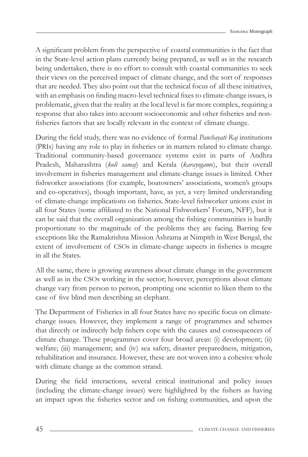A significant problem from the perspective of coastal communities is the fact that in the State-level action plans currently being prepared, as well as in the research being undertaken, there is no effort to consult with coastal communities to seek their views on the perceived impact of climate change, and the sort of responses that are needed. They also point out that the technical focus of all these initiatives, with an emphasis on finding macro-level technical fixes to climate-change issues, is problematic, given that the reality at the local level is far more complex, requiring a response that also takes into account socioeconomic and other fisheries and nonfisheries factors that are locally relevant in the context of climate change.

During the field study, there was no evidence of formal *Panchayati Raj* institutions (PRIs) having any role to play in fisheries or in matters related to climate change. Traditional community-based governance systems exist in parts of Andhra Pradesh, Maharashtra (*koli samaj*) and Kerala (*karayogam*s), but their overall involvement in fisheries management and climate-change issues is limited. Other fishworker associations (for example, boatowners' associations, women's groups and co-operatives), though important, have, as yet, a very limited understanding of climate-change implications on fisheries. State-level fishworker unions exist in all four States (some affiliated to the National Fishworkers' Forum, NFF), but it can be said that the overall organization among the fishing communities is hardly proportionate to the magnitude of the problems they are facing. Barring few exceptions like the Ramakrishna Mission Ashrama at Nimpith in West Bengal, the extent of involvement of CSOs in climate-change aspects in fisheries is meagre in all the States.

All the same, there is growing awareness about climate change in the government as well as in the CSOs working in the sector; however, perceptions about climate change vary from person to person, prompting one scientist to liken them to the case of five blind men describing an elephant.

The Department of Fisheries in all four States have no specific focus on climatechange issues. However, they implement a range of programmes and schemes that directly or indirectly help fishers cope with the causes and consequences of climate change. These programmes cover four broad areas: (i) development; (ii) welfare; (iii) management; and (iv) sea safety, disaster preparedness, mitigation, rehabilitation and insurance. However, these are not woven into a cohesive whole with climate change as the common strand.

During the field interactions, several critical institutional and policy issues (including the climate-change issues) were highlighted by the fishers as having an impact upon the fisheries sector and on fishing communities, and upon the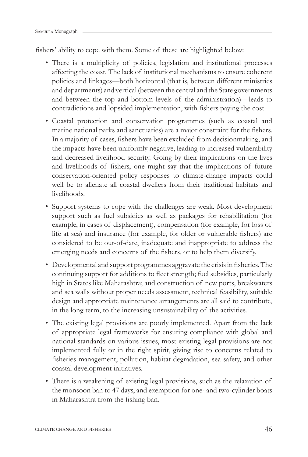fishers' ability to cope with them. Some of these are highlighted below:

- There is a multiplicity of policies, legislation and institutional processes affecting the coast. The lack of institutional mechanisms to ensure coherent policies and linkages—both horizontal (that is, between different ministries and departments) and vertical (between the central and the State governments and between the top and bottom levels of the administration)—leads to contradictions and lopsided implementation, with fishers paying the cost.
- Coastal protection and conservation programmes (such as coastal and marine national parks and sanctuaries) are a major constraint for the fishers. In a majority of cases, fishers have been excluded from decision making, and the impacts have been uniformly negative, leading to increased vulnerability and decreased livelihood security. Going by their implications on the lives and livelihoods of fishers, one might say that the implications of future conservation-oriented policy responses to climate-change impacts could well be to alienate all coastal dwellers from their traditional habitats and livelihoods.
- Support systems to cope with the challenges are weak. Most development support such as fuel subsidies as well as packages for rehabilitation (for example, in cases of displacement), compensation (for example, for loss of life at sea) and insurance (for example, for older or vulnerable fishers) are considered to be out-of-date, inadequate and inappropriate to address the emerging needs and concerns of the fishers, or to help them diversify.
- Developmental and support programmes aggravate the crisis in fisheries. The continuing support for additions to fleet strength; fuel subsidies, particularly high in States like Maharashtra; and construction of new ports, breakwaters and sea walls without proper needs assessment, technical feasibility, suitable design and appropriate maintenance arrangements are all said to contribute, in the long term, to the increasing unsustainability of the activities.
- The existing legal provisions are poorly implemented. Apart from the lack of appropriate legal frameworks for ensuring compliance with global and national standards on various issues, most existing legal provisions are not implemented fully or in the right spirit, giving rise to concerns related to fisheries management, pollution, habitat degradation, sea safety, and other coastal development initiatives.
- There is a weakening of existing legal provisions, such as the relaxation of the monsoon ban to 47 days, and exemption for one- and two-cylinder boats in Maharashtra from the fishing ban.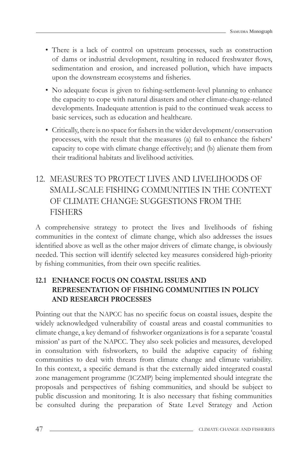- There is a lack of control on upstream processes, such as construction of dams or industrial development, resulting in reduced freshwater flows, sedimentation and erosion, and increased pollution, which have impacts upon the downstream ecosystems and fisheries.
- No adequate focus is given to fishing-settlement-level planning to enhance the capacity to cope with natural disasters and other climate-change-related developments. Inadequate attention is paid to the continued weak access to basic services, such as education and healthcare.
- Critically, there is no space for fishers in the wider development/conservation processes, with the result that the measures (a) fail to enhance the fishers' capacity to cope with climate change effectively; and (b) alienate them from their traditional habitats and livelihood activities.

## 12. MEASURES TO PROTECT LIVES AND LIVELIHOODS OF SMALL-SCALE FISHING COMMUNITIES IN THE CONTEXT OF CLIMATE CHANGE: SUGGESTIONS FROM THE **FISHERS**

A comprehensive strategy to protect the lives and livelihoods of fishing communities in the context of climate change, which also addresses the issues identified above as well as the other major drivers of climate change, is obviously needed. This section will identify selected key measures considered high-priority by fishing communities, from their own specific realities.

## **12.1 ENHANCE FOCUS ON COASTAL ISSUES AND REPRESENTATION OF FISHING COMMUNITIES IN POLICY AND RESEARCH PROCESSES**

Pointing out that the NAPCC has no specific focus on coastal issues, despite the widely acknowledged vulnerability of coastal areas and coastal communities to climate change, a key demand of fishworker organizations is for a separate 'coastal mission' as part of the NAPCC. They also seek policies and measures, developed in consultation with fishworkers, to build the adaptive capacity of fishing communities to deal with threats from climate change and climate variability. In this context, a specific demand is that the externally aided integrated coastal zone management programme (ICZMP) being implemented should integrate the proposals and perspectives of fishing communities, and should be subject to public discussion and monitoring. It is also necessary that fishing communities be consulted during the preparation of State Level Strategy and Action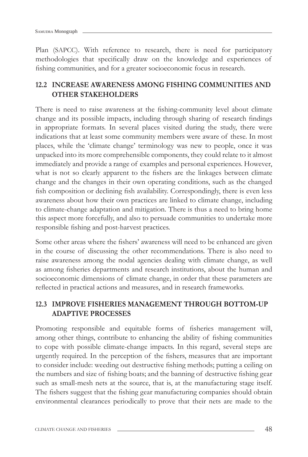Plan (SAPCC). With reference to research, there is need for participatory methodologies that specifically draw on the knowledge and experiences of fishing communities, and for a greater socioeconomic focus in research.

## **12.2 INCREASE AWARENESS AMONG FISHING COMMUNITIES AND OTHER STAKEHOLDERS**

There is need to raise awareness at the fishing-community level about climate change and its possible impacts, including through sharing of research findings in appropriate formats. In several places visited during the study, there were indications that at least some community members were aware of these. In most places, while the 'climate change' terminology was new to people, once it was unpacked into its more comprehensible components, they could relate to it almost immediately and provide a range of examples and personal experiences. However, what is not so clearly apparent to the fishers are the linkages between climate change and the changes in their own operating conditions, such as the changed fish composition or declining fish availability. Correspondingly, there is even less awareness about how their own practices are linked to climate change, including to climate-change adaptation and mitigation. There is thus a need to bring home this aspect more forcefully, and also to persuade communities to undertake more responsible fishing and post-harvest practices.

Some other areas where the fishers' awareness will need to be enhanced are given in the course of discussing the other recommendations. There is also need to raise awareness among the nodal agencies dealing with climate change, as well as among fisheries departments and research institutions, about the human and socioeconomic dimensions of climate change, in order that these parameters are reflected in practical actions and measures, and in research frameworks.

## **12.3 IMPROVE FISHERIES MANAGEMENT THROUGH BOTTOM-UP ADAPTIVE PROCESSES**

Promoting responsible and equitable forms of fisheries management will, among other things, contribute to enhancing the ability of fishing communities to cope with possible climate-change impacts. In this regard, several steps are urgently required. In the perception of the fishers, measures that are important to consider include: weeding out destructive fishing methods; putting a ceiling on the numbers and size of fishing boats; and the banning of destructive fishing gear such as small-mesh nets at the source, that is, at the manufacturing stage itself. The fishers suggest that the fishing gear manufacturing companies should obtain environmental clearances periodically to prove that their nets are made to the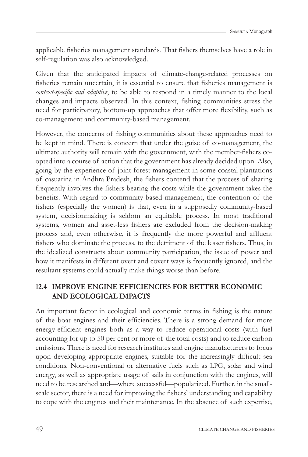applicable fisheries management standards. That fishers themselves have a role in self-regulation was also acknowledged.

Given that the anticipated impacts of climate-change-related processes on fisheries remain uncertain, it is essential to ensure that fisheries management is *context-specifi c and adaptive*, to be able to respond in a timely manner to the local changes and impacts observed. In this context, fishing communities stress the need for participatory, bottom-up approaches that offer more flexibility, such as co-management and community-based management.

However, the concerns of fishing communities about these approaches need to be kept in mind. There is concern that under the guise of co-management, the ultimate authority will remain with the government, with the member-fishers coopted into a course of action that the government has already decided upon. Also, going by the experience of joint forest management in some coastal plantations of casuarina in Andhra Pradesh, the fishers contend that the process of sharing frequently involves the fishers bearing the costs while the government takes the benefits. With regard to community-based management, the contention of the fishers (especially the women) is that, even in a supposedly community-based system, decisionmaking is seldom an equitable process. In most traditional systems, women and asset-less fishers are excluded from the decision-making process and, even otherwise, it is frequently the more powerful and affluent fishers who dominate the process, to the detriment of the lesser fishers. Thus, in the idealized constructs about community participation, the issue of power and how it manifests in different overt and covert ways is frequently ignored, and the resultant systems could actually make things worse than before.

## **12.4 IMPROVE ENGINE EFFICIENCIES FOR BETTER ECONOMIC AND ECOLOGICAL IMPACTS**

An important factor in ecological and economic terms in fishing is the nature of the boat engines and their efficiencies. There is a strong demand for more energy-efficient engines both as a way to reduce operational costs (with fuel accounting for up to 50 per cent or more of the total costs) and to reduce carbon emissions. There is need for research institutes and engine manufacturers to focus upon developing appropriate engines, suitable for the increasingly difficult sea conditions. Non-conventional or alternative fuels such as LPG, solar and wind energy, as well as appropriate usage of sails in conjunction with the engines, will need to be researched and—where successful—popularized. Further, in the smallscale sector, there is a need for improving the fishers' understanding and capability to cope with the engines and their maintenance. In the absence of such expertise,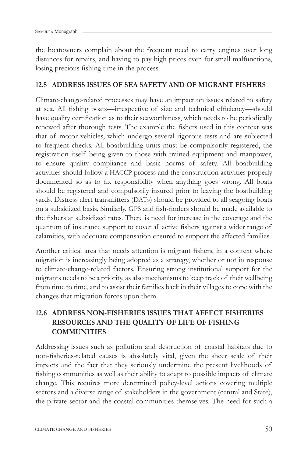the boatowners complain about the frequent need to carry engines over long distances for repairs, and having to pay high prices even for small malfunctions, losing precious fishing time in the process.

#### **12.5 ADDRESS ISSUES OF SEA SAFETY AND OF MIGRANT FISHERS**

Climate-change-related processes may have an impact on issues related to safety at sea. All fishing boats—irrespective of size and technical efficiency—should have quality certification as to their seaworthiness, which needs to be periodically renewed after thorough tests. The example the fishers used in this context was that of motor vehicles, which undergo several rigorous tests and are subjected to frequent checks. All boatbuilding units must be compulsorily registered, the registration itself being given to those with trained equipment and manpower, to ensure quality compliance and basic norms of safety. All boatbuilding activities should follow a HACCP process and the construction activities properly documented so as to fix responsibility when anything goes wrong. All boats should be registered and compulsorily insured prior to leaving the boatbuilding yards. Distress alert transmitters (DATs) should be provided to all seagoing boats on a subsidized basis. Similarly, GPS and fish-finders should be made available to the fishers at subsidized rates. There is need for increase in the coverage and the quantum of insurance support to cover all active fishers against a wider range of calamities, with adequate compensation ensured to support the affected families.

Another critical area that needs attention is migrant fishers, in a context where migration is increasingly being adopted as a strategy, whether or not in response to climate-change-related factors. Ensuring strong institutional support for the migrants needs to be a priority, as also mechanisms to keep track of their wellbeing from time to time, and to assist their families back in their villages to cope with the changes that migration forces upon them.

## **12.6 ADDRESS NON-FISHERIES ISSUES THAT AFFECT FISHERIES RESOURCES AND THE QUALITY OF LIFE OF FISHING COMMUNITIES**

Addressing issues such as pollution and destruction of coastal habitats due to non-fi sheries-related causes is absolutely vital, given the sheer scale of their impacts and the fact that they seriously undermine the present livelihoods of fishing communities as well as their ability to adapt to possible impacts of climate change. This requires more determined policy-level actions covering multiple sectors and a diverse range of stakeholders in the government (central and State), the private sector and the coastal communities themselves. The need for such a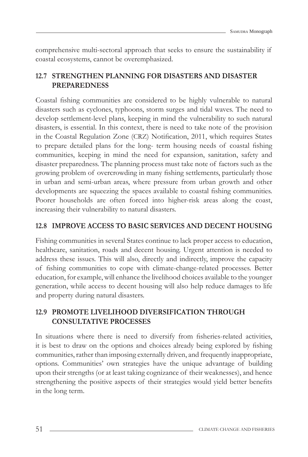comprehensive multi-sectoral approach that seeks to ensure the sustainability if coastal ecosystems, cannot be overemphasized.

## **12.7 STRENGTHEN PLANNING FOR DISASTERS AND DISASTER PREPAREDNESS**

Coastal fishing communities are considered to be highly vulnerable to natural disasters such as cyclones, typhoons, storm surges and tidal waves. The need to develop settlement-level plans, keeping in mind the vulnerability to such natural disasters, is essential. In this context, there is need to take note of the provision in the Coastal Regulation Zone (CRZ) Notification, 2011, which requires States to prepare detailed plans for the long- term housing needs of coastal fishing communities, keeping in mind the need for expansion, sanitation, safety and disaster preparedness. The planning process must take note of factors such as the growing problem of overcrowding in many fishing settlements, particularly those in urban and semi-urban areas, where pressure from urban growth and other developments are squeezing the spaces available to coastal fishing communities. Poorer households are often forced into higher-risk areas along the coast, increasing their vulnerability to natural disasters.

#### **12.8 IMPROVE ACCESS TO BASIC SERVICES AND DECENT HOUSING**

Fishing communities in several States continue to lack proper access to education, healthcare, sanitation, roads and decent housing. Urgent attention is needed to address these issues. This will also, directly and indirectly, improve the capacity of fishing communities to cope with climate-change-related processes. Better education, for example, will enhance the livelihood choices available to the younger generation, while access to decent housing will also help reduce damages to life and property during natural disasters.

### **12.9 PROMOTE LIVELIHOOD DIVERSIFICATION THROUGH CONSULTATIVE PROCESSES**

In situations where there is need to diversify from fisheries-related activities, it is best to draw on the options and choices already being explored by fishing communities, rather than imposing externally driven, and frequently inappropriate, options. Communities' own strategies have the unique advantage of building upon their strengths (or at least taking cognizance of their weaknesses), and hence strengthening the positive aspects of their strategies would yield better benefits in the long term.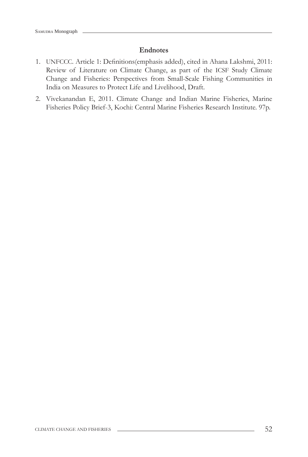#### **Endnotes**

- 1. UNFCCC. Article 1: Definitions(emphasis added), cited in Ahana Lakshmi, 2011: Review of Literature on Climate Change, as part of the ICSF Study Climate Change and Fisheries: Perspectives from Small-Scale Fishing Communities in India on Measures to Protect Life and Livelihood, Draft.
- 2. Vivekanandan E, 2011. Climate Change and Indian Marine Fisheries, Marine Fisheries Policy Brief-3, Kochi: Central Marine Fisheries Research Institute. 97p.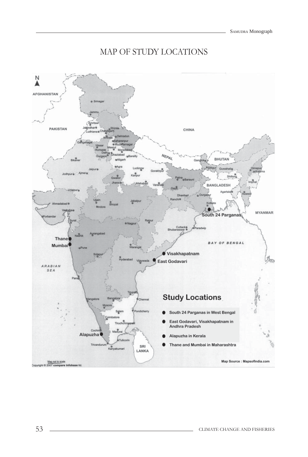## MAP OF STUDY LOCATIONS